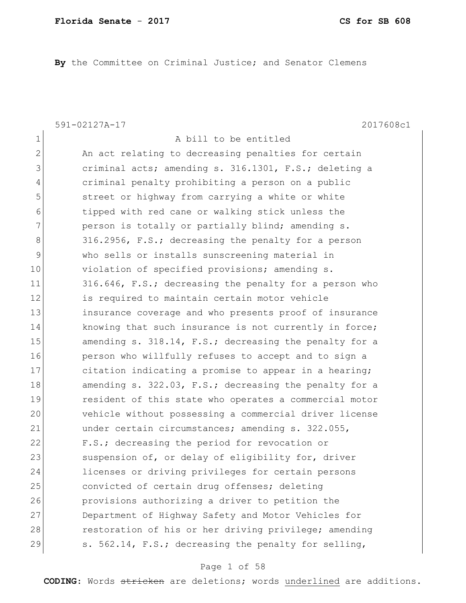**By** the Committee on Criminal Justice; and Senator Clemens

1 a bill to be entitled

591-02127A-17 2017608c1

2 An act relating to decreasing penalties for certain 3 3 criminal acts; amending s. 316.1301, F.S.; deleting a 4 criminal penalty prohibiting a person on a public 5 street or highway from carrying a white or white 6 tipped with red cane or walking stick unless the 7 person is totally or partially blind; amending s. 8 316.2956, F.S.; decreasing the penalty for a person 9 who sells or installs sunscreening material in 10 violation of specified provisions; amending s. 11 316.646, F.S.; decreasing the penalty for a person who 12 is required to maintain certain motor vehicle 13 **insurance coverage and who presents proof of insurance** 14 knowing that such insurance is not currently in force; 15 amending s. 318.14, F.S.; decreasing the penalty for a 16 **person who willfully refuses to accept and to sign a** 17 citation indicating a promise to appear in a hearing; 18 amending s. 322.03, F.S.; decreasing the penalty for a 19 resident of this state who operates a commercial motor 20 vehicle without possessing a commercial driver license 21 under certain circumstances; amending s. 322.055, 22 F.S.; decreasing the period for revocation or 23 Suspension of, or delay of eligibility for, driver 24 licenses or driving privileges for certain persons 25 convicted of certain drug offenses; deleting 26 provisions authorizing a driver to petition the 27 Department of Highway Safety and Motor Vehicles for 28 restoration of his or her driving privilege; amending 29 s. 562.14, F.S.; decreasing the penalty for selling,

#### Page 1 of 58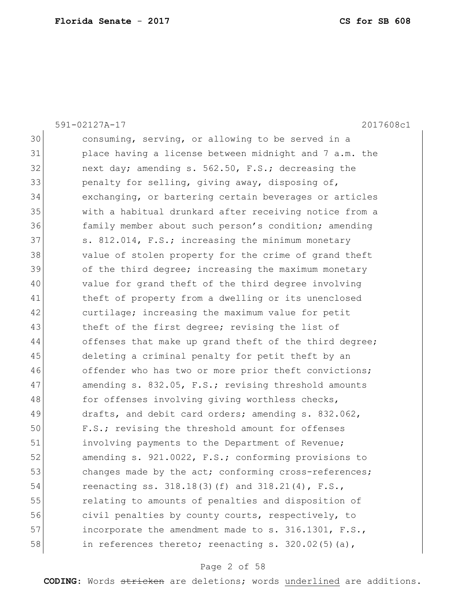|    | 2017608c1<br>591-02127A-17                             |
|----|--------------------------------------------------------|
| 30 | consuming, serving, or allowing to be served in a      |
| 31 | place having a license between midnight and 7 a.m. the |
| 32 | next day; amending s. 562.50, F.S.; decreasing the     |
| 33 | penalty for selling, giving away, disposing of,        |
| 34 | exchanging, or bartering certain beverages or articles |
| 35 | with a habitual drunkard after receiving notice from a |
| 36 | family member about such person's condition; amending  |
| 37 | s. 812.014, F.S.; increasing the minimum monetary      |
| 38 | value of stolen property for the crime of grand theft  |
| 39 | of the third degree; increasing the maximum monetary   |
| 40 | value for grand theft of the third degree involving    |
| 41 | theft of property from a dwelling or its unenclosed    |
| 42 | curtilage; increasing the maximum value for petit      |
| 43 | theft of the first degree; revising the list of        |
| 44 | offenses that make up grand theft of the third degree; |
| 45 | deleting a criminal penalty for petit theft by an      |
| 46 | offender who has two or more prior theft convictions;  |
| 47 | amending s. 832.05, F.S.; revising threshold amounts   |
| 48 | for offenses involving giving worthless checks,        |
| 49 | drafts, and debit card orders; amending s. 832.062,    |
| 50 | F.S.; revising the threshold amount for offenses       |
| 51 | involving payments to the Department of Revenue;       |
| 52 | amending s. 921.0022, F.S.; conforming provisions to   |
| 53 | changes made by the act; conforming cross-references;  |
| 54 | reenacting ss. 318.18(3)(f) and 318.21(4), F.S.,       |
| 55 | relating to amounts of penalties and disposition of    |
| 56 | civil penalties by county courts, respectively, to     |
| 57 | incorporate the amendment made to s. 316.1301, F.S.,   |
| 58 | in references thereto; reenacting s. 320.02(5)(a),     |

### Page 2 of 58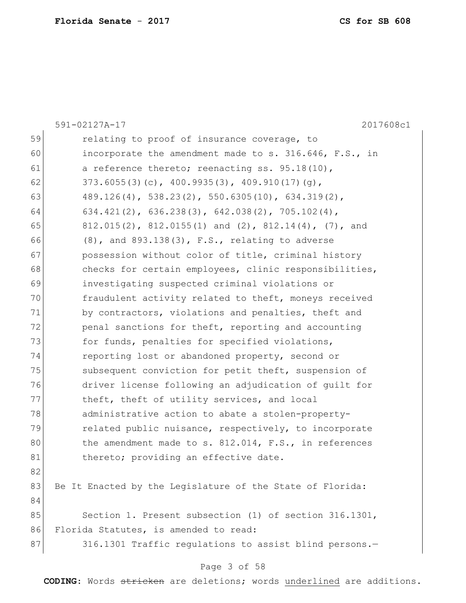|    | 591-02127A-17<br>2017608c1                                         |
|----|--------------------------------------------------------------------|
| 59 | relating to proof of insurance coverage, to                        |
| 60 | incorporate the amendment made to s. 316.646, F.S., in             |
| 61 | a reference thereto; reenacting ss. 95.18(10),                     |
| 62 | $373.6055(3)(c)$ , 400.9935(3), 409.910(17)(g),                    |
| 63 | $489.126(4)$ , 538.23(2), 550.6305(10), 634.319(2),                |
| 64 | $634.421(2)$ , $636.238(3)$ , $642.038(2)$ , $705.102(4)$ ,        |
| 65 | $812.015(2)$ , $812.0155(1)$ and $(2)$ , $812.14(4)$ , $(7)$ , and |
| 66 | $(8)$ , and $893.138(3)$ , F.S., relating to adverse               |
| 67 | possession without color of title, criminal history                |
| 68 | checks for certain employees, clinic responsibilities,             |
| 69 | investigating suspected criminal violations or                     |
| 70 | fraudulent activity related to theft, moneys received              |
| 71 | by contractors, violations and penalties, theft and                |
| 72 | penal sanctions for theft, reporting and accounting                |
| 73 | for funds, penalties for specified violations,                     |
| 74 | reporting lost or abandoned property, second or                    |
| 75 | subsequent conviction for petit theft, suspension of               |
| 76 | driver license following an adjudication of quilt for              |
| 77 | theft, theft of utility services, and local                        |
| 78 | administrative action to abate a stolen-property-                  |
| 79 | related public nuisance, respectively, to incorporate              |
| 80 | the amendment made to s. $812.014$ , F.S., in references           |
| 81 | thereto; providing an effective date.                              |
| 82 |                                                                    |
| 83 | Be It Enacted by the Legislature of the State of Florida:          |
| 84 |                                                                    |
| 85 | Section 1. Present subsection (1) of section 316.1301,             |
| 86 | Florida Statutes, is amended to read:                              |
| 87 | 316.1301 Traffic requlations to assist blind persons.-             |
|    | Page 3 of 58                                                       |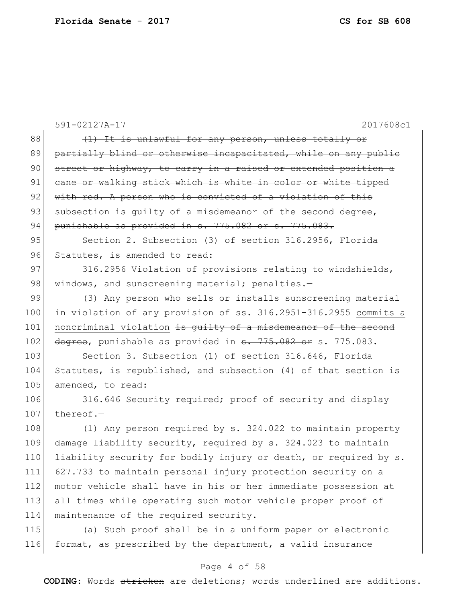|     | 591-02127A-17<br>2017608c1                                       |  |  |  |
|-----|------------------------------------------------------------------|--|--|--|
| 88  | (1) It is unlawful for any person, unless totally or             |  |  |  |
| 89  | partially blind or otherwise incapacitated, while on any public  |  |  |  |
| 90  | street or highway, to carry in a raised or extended position a   |  |  |  |
| 91  | cane or walking stick which is white in color or white tipped    |  |  |  |
| 92  | with red. A person who is convicted of a violation of this       |  |  |  |
| 93  | subsection is quilty of a misdemeanor of the second degree,      |  |  |  |
| 94  | punishable as provided in s. 775.082 or s. 775.083.              |  |  |  |
| 95  | Section 2. Subsection (3) of section 316.2956, Florida           |  |  |  |
| 96  | Statutes, is amended to read:                                    |  |  |  |
| 97  | 316.2956 Violation of provisions relating to windshields,        |  |  |  |
| 98  | windows, and sunscreening material; penalties.-                  |  |  |  |
| 99  | (3) Any person who sells or installs sunscreening material       |  |  |  |
| 100 | in violation of any provision of ss. 316.2951-316.2955 commits a |  |  |  |
| 101 | noncriminal violation is quilty of a misdemeanor of the second   |  |  |  |
| 102 | degree, punishable as provided in s. 775.082 or s. 775.083.      |  |  |  |
| 103 | Section 3. Subsection (1) of section 316.646, Florida            |  |  |  |
| 104 | Statutes, is republished, and subsection (4) of that section is  |  |  |  |
| 105 | amended, to read:                                                |  |  |  |
| 106 | 316.646 Security required; proof of security and display         |  |  |  |
| 107 | thereof. $-$                                                     |  |  |  |
| 108 | (1) Any person required by s. 324.022 to maintain property       |  |  |  |
| 109 | damage liability security, required by s. 324.023 to maintain    |  |  |  |
| 110 | liability security for bodily injury or death, or required by s. |  |  |  |
| 111 | 627.733 to maintain personal injury protection security on a     |  |  |  |
| 112 | motor vehicle shall have in his or her immediate possession at   |  |  |  |
| 113 | all times while operating such motor vehicle proper proof of     |  |  |  |
| 114 | maintenance of the required security.                            |  |  |  |
| 115 | (a) Such proof shall be in a uniform paper or electronic         |  |  |  |
| 116 | format, as prescribed by the department, a valid insurance       |  |  |  |

# Page 4 of 58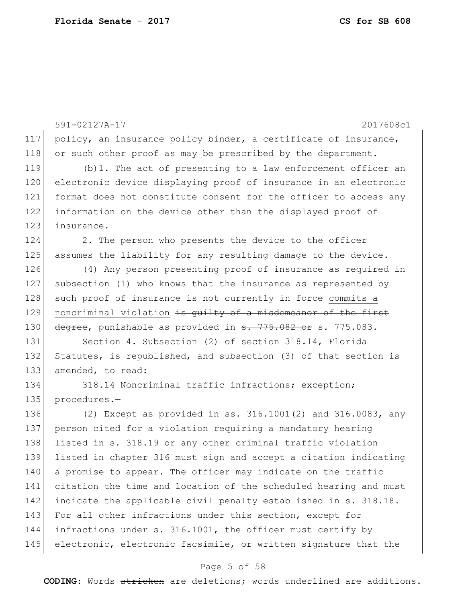|     | 591-02127A-17<br>2017608c1                                             |  |  |  |  |
|-----|------------------------------------------------------------------------|--|--|--|--|
| 117 | policy, an insurance policy binder, a certificate of insurance,        |  |  |  |  |
| 118 | or such other proof as may be prescribed by the department.            |  |  |  |  |
| 119 | (b) 1. The act of presenting to a law enforcement officer an           |  |  |  |  |
| 120 | electronic device displaying proof of insurance in an electronic       |  |  |  |  |
| 121 | format does not constitute consent for the officer to access any       |  |  |  |  |
| 122 | information on the device other than the displayed proof of            |  |  |  |  |
| 123 | insurance.                                                             |  |  |  |  |
| 124 | 2. The person who presents the device to the officer                   |  |  |  |  |
| 125 | assumes the liability for any resulting damage to the device.          |  |  |  |  |
| 126 | (4) Any person presenting proof of insurance as required in            |  |  |  |  |
| 127 | subsection (1) who knows that the insurance as represented by          |  |  |  |  |
| 128 | such proof of insurance is not currently in force commits a            |  |  |  |  |
| 129 | noncriminal violation is guilty of a misdemeanor of the first          |  |  |  |  |
| 130 | degree, punishable as provided in <del>s. 775.082 or</del> s. 775.083. |  |  |  |  |
| 131 | Section 4. Subsection (2) of section 318.14, Florida                   |  |  |  |  |
| 132 | Statutes, is republished, and subsection (3) of that section is        |  |  |  |  |
| 133 | amended, to read:                                                      |  |  |  |  |
| 134 | 318.14 Noncriminal traffic infractions; exception;                     |  |  |  |  |
| 135 | procedures.-                                                           |  |  |  |  |
| 136 | (2) Except as provided in ss. $316.1001(2)$ and $316.0083$ , any       |  |  |  |  |
| 137 | person cited for a violation requiring a mandatory hearing             |  |  |  |  |
| 138 | listed in s. 318.19 or any other criminal traffic violation            |  |  |  |  |
| 139 | listed in chapter 316 must sign and accept a citation indicating       |  |  |  |  |
| 140 | a promise to appear. The officer may indicate on the traffic           |  |  |  |  |
| 141 | citation the time and location of the scheduled hearing and must       |  |  |  |  |
| 142 | indicate the applicable civil penalty established in s. 318.18.        |  |  |  |  |
| 143 | For all other infractions under this section, except for               |  |  |  |  |
| 144 | infractions under s. 316.1001, the officer must certify by             |  |  |  |  |
| 145 | electronic, electronic facsimile, or written signature that the        |  |  |  |  |

### Page 5 of 58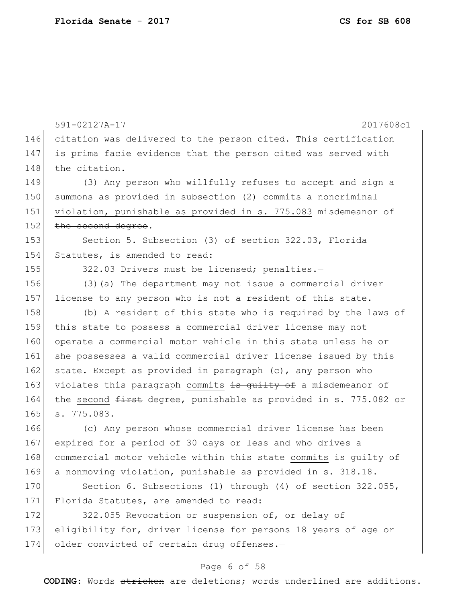591-02127A-17 2017608c1 Page 6 of 58 146 citation was delivered to the person cited. This certification 147 is prima facie evidence that the person cited was served with 148 the citation. 149 (3) Any person who willfully refuses to accept and sign a 150 summons as provided in subsection (2) commits a noncriminal 151 violation, punishable as provided in s. 775.083 misdemeanor of 152 the second degree. 153 Section 5. Subsection (3) of section 322.03, Florida 154 Statutes, is amended to read: 155 322.03 Drivers must be licensed; penalties.-156 (3)(a) The department may not issue a commercial driver 157 license to any person who is not a resident of this state. 158 (b) A resident of this state who is required by the laws of 159 this state to possess a commercial driver license may not 160 operate a commercial motor vehicle in this state unless he or 161 she possesses a valid commercial driver license issued by this 162 state. Except as provided in paragraph (c), any person who 163 violates this paragraph commits is guilty of a misdemeanor of 164 the second <del>first</del> degree, punishable as provided in s. 775.082 or 165 s. 775.083. 166 (c) Any person whose commercial driver license has been 167 expired for a period of 30 days or less and who drives a 168 commercial motor vehicle within this state commits is guilty of 169 a nonmoving violation, punishable as provided in s. 318.18. 170 Section 6. Subsections (1) through (4) of section 322.055, 171 Florida Statutes, are amended to read: 172 322.055 Revocation or suspension of, or delay of 173 eligibility for, driver license for persons 18 years of age or 174 older convicted of certain drug offenses.-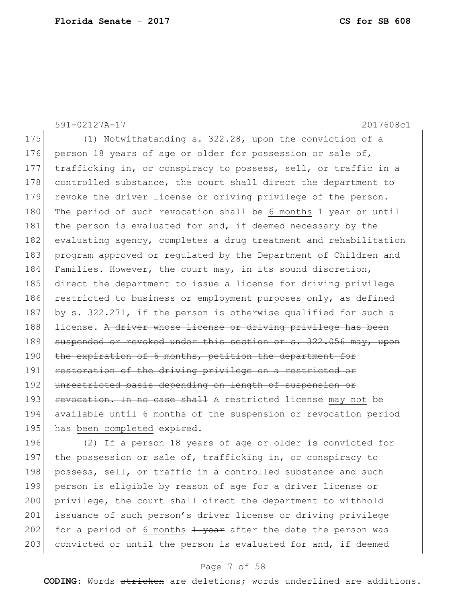591-02127A-17 2017608c1 175 (1) Notwithstanding s. 322.28, upon the conviction of a 176 person 18 years of age or older for possession or sale of, 177 trafficking in, or conspiracy to possess, sell, or traffic in a 178 controlled substance, the court shall direct the department to 179 revoke the driver license or driving privilege of the person. 180 The period of such revocation shall be 6 months  $\frac{1}{1}$  year or until 181 the person is evaluated for and, if deemed necessary by the 182 evaluating agency, completes a drug treatment and rehabilitation 183 program approved or regulated by the Department of Children and 184 Families. However, the court may, in its sound discretion, 185 direct the department to issue a license for driving privilege 186 restricted to business or employment purposes only, as defined 187 by s. 322.271, if the person is otherwise qualified for such a 188 license. A driver whose license or driving privilege has been 189 suspended or revoked under this section or s. 322.056 may, upon 190 the expiration of 6 months, petition the department for 191 restoration of the driving privilege on a restricted or 192 unrestricted basis depending on length of suspension or 193 **revocation. In no case shall** A restricted license may not be 194 available until 6 months of the suspension or revocation period 195 has been completed expired.

196 (2) If a person 18 years of age or older is convicted for 197 the possession or sale of, trafficking in, or conspiracy to 198 possess, sell, or traffic in a controlled substance and such 199 person is eligible by reason of age for a driver license or 200 privilege, the court shall direct the department to withhold 201 issuance of such person's driver license or driving privilege 202 for a period of 6 months  $\frac{1}{2}$  year after the date the person was 203 convicted or until the person is evaluated for and, if deemed

#### Page 7 of 58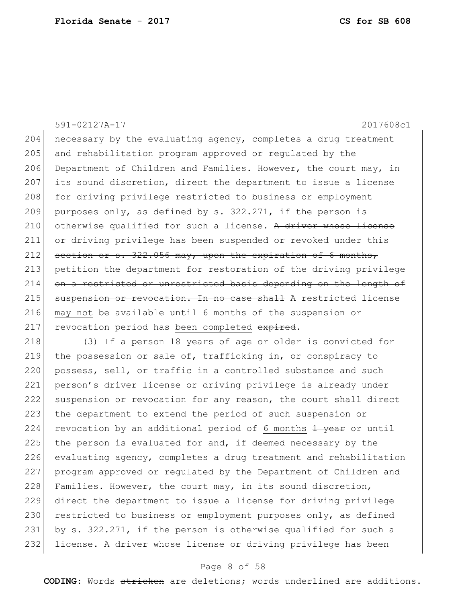591-02127A-17 2017608c1 204 necessary by the evaluating agency, completes a drug treatment 205 and rehabilitation program approved or regulated by the 206 Department of Children and Families. However, the court may, in 207 its sound discretion, direct the department to issue a license 208 for driving privilege restricted to business or employment 209 purposes only, as defined by s.  $322.271$ , if the person is 210 otherwise qualified for such a license. A driver whose license 211 or driving privilege has been suspended or revoked under this  $212$  section or s. 322.056 may, upon the expiration of 6 months, 213 petition the department for restoration of the driving privilege 214 on a restricted or unrestricted basis depending on the length of 215 suspension or revocation. In no case shall A restricted license 216 may not be available until 6 months of the suspension or 217 revocation period has been completed expired. 218 (3) If a person 18 years of age or older is convicted for 219 the possession or sale of, trafficking in, or conspiracy to 220 possess, sell, or traffic in a controlled substance and such 221 person's driver license or driving privilege is already under 222 suspension or revocation for any reason, the court shall direct 223 the department to extend the period of such suspension or 224 revocation by an additional period of 6 months  $\frac{1}{1}$  year or until 225 the person is evaluated for and, if deemed necessary by the 226 evaluating agency, completes a drug treatment and rehabilitation 227 program approved or regulated by the Department of Children and 228 Families. However, the court may, in its sound discretion, 229 direct the department to issue a license for driving privilege 230 restricted to business or employment purposes only, as defined 231 by s. 322.271, if the person is otherwise qualified for such a

232 license. A driver whose license or driving privilege has been

#### Page 8 of 58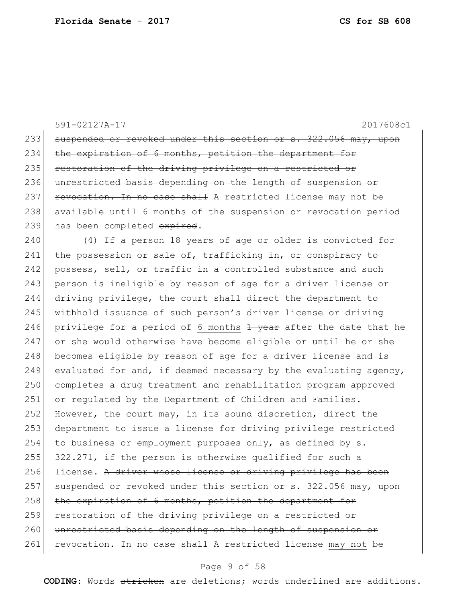591-02127A-17 2017608c1 233 suspended or revoked under this section or s. 322.056 may, upon 234 the expiration of 6 months, petition the department for 235 restoration of the driving privilege on a restricted or 236 unrestricted basis depending on the length of suspension or 237 **revocation. In no case shall** A restricted license may not be 238 available until 6 months of the suspension or revocation period 239 has been completed expired. 240 (4) If a person 18 years of age or older is convicted for 241 the possession or sale of, trafficking in, or conspiracy to 242 possess, sell, or traffic in a controlled substance and such 243 person is ineligible by reason of age for a driver license or 244 driving privilege, the court shall direct the department to 245 withhold issuance of such person's driver license or driving 246 privilege for a period of 6 months  $1$  year after the date that he 247 or she would otherwise have become eligible or until he or she 248 becomes eligible by reason of age for a driver license and is 249 evaluated for and, if deemed necessary by the evaluating agency, 250 completes a drug treatment and rehabilitation program approved 251 or regulated by the Department of Children and Families. 252 However, the court may, in its sound discretion, direct the 253 department to issue a license for driving privilege restricted 254 to business or employment purposes only, as defined by s. 255 322.271, if the person is otherwise qualified for such a 256 license. A driver whose license or driving privilege has been 257 suspended or revoked under this section or s. 322.056 may, upon  $258$  the expiration of 6 months, petition the department for 259 restoration of the driving privilege on a restricted or 260 unrestricted basis depending on the length of suspension or 261 revocation. In no case shall A restricted license may not be

#### Page 9 of 58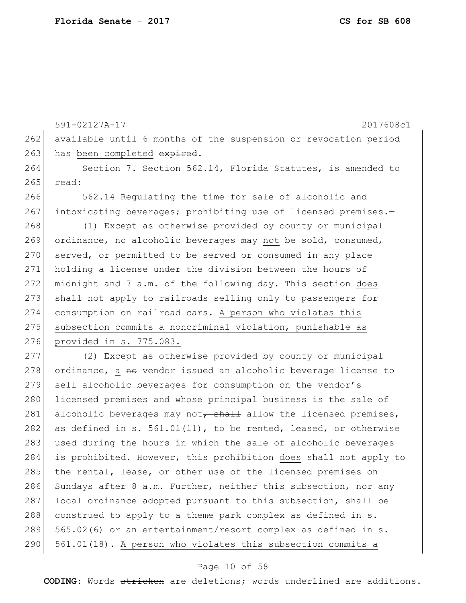262 available until 6 months of the suspension or revocation period 263 has been completed expired. 264 Section 7. Section 562.14, Florida Statutes, is amended to 265 read: 266 562.14 Regulating the time for sale of alcoholic and 267 intoxicating beverages; prohibiting use of licensed premises.-268 (1) Except as otherwise provided by county or municipal 269 ordinance,  $m_{\theta}$  alcoholic beverages may not be sold, consumed, 270 served, or permitted to be served or consumed in any place 271 holding a license under the division between the hours of 272 midnight and 7 a.m. of the following day. This section does 273 shall not apply to railroads selling only to passengers for

591-02127A-17 2017608c1

274 consumption on railroad cars. A person who violates this 275 subsection commits a noncriminal violation, punishable as 276 provided in s. 775.083.

277 (2) Except as otherwise provided by county or municipal 278 ordinance, a no vendor issued an alcoholic beverage license to 279 sell alcoholic beverages for consumption on the vendor's 280 licensed premises and whose principal business is the sale of 281 alcoholic beverages may not, shall allow the licensed premises, 282 as defined in s.  $561.01(11)$ , to be rented, leased, or otherwise 283 used during the hours in which the sale of alcoholic beverages 284 is prohibited. However, this prohibition does shall not apply to 285 the rental, lease, or other use of the licensed premises on 286 Sundays after 8 a.m. Further, neither this subsection, nor any 287 local ordinance adopted pursuant to this subsection, shall be 288 construed to apply to a theme park complex as defined in s. 289 565.02(6) or an entertainment/resort complex as defined in s. 290 561.01(18). A person who violates this subsection commits a

#### Page 10 of 58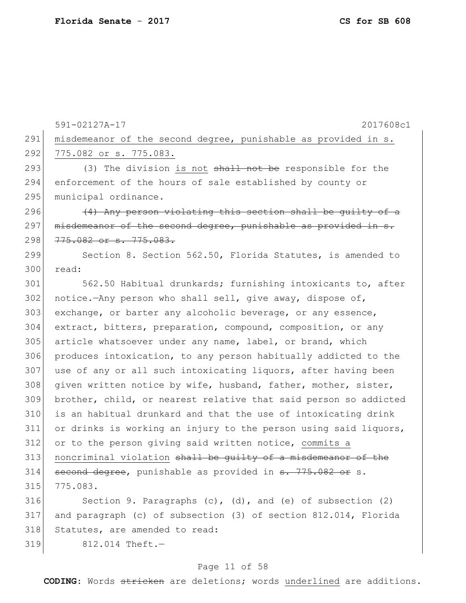591-02127A-17 2017608c1 291 | misdemeanor of the second degree, punishable as provided in s. 292 775.082 or s. 775.083. 293  $(3)$  The division is not shall not be responsible for the 294 enforcement of the hours of sale established by county or 295 municipal ordinance. 296  $(4)$  Any person violating this section shall be quilty of a 297 misdemeanor of the second degree, punishable as provided in s. 298 775.082 or s. 775.083. 299 Section 8. Section 562.50, Florida Statutes, is amended to 300 read: 301 562.50 Habitual drunkards; furnishing intoxicants to, after  $302$  notice.—Any person who shall sell, give away, dispose of, 303 exchange, or barter any alcoholic beverage, or any essence, 304 extract, bitters, preparation, compound, composition, or any 305 article whatsoever under any name, label, or brand, which 306 produces intoxication, to any person habitually addicted to the 307 use of any or all such intoxicating liquors, after having been 308 | given written notice by wife, husband, father, mother, sister, 309 brother, child, or nearest relative that said person so addicted 310 is an habitual drunkard and that the use of intoxicating drink 311 or drinks is working an injury to the person using said liquors, 312 or to the person giving said written notice, commits a 313 noncriminal violation shall be quilty of a misdemeanor of the 314 second degree, punishable as provided in s. 775.082 or s. 315 775.083. 316 Section 9. Paragraphs (c), (d), and (e) of subsection (2) 317 and paragraph (c) of subsection (3) of section 812.014, Florida 318 Statutes, are amended to read: 319 812.014 Theft.—

#### Page 11 of 58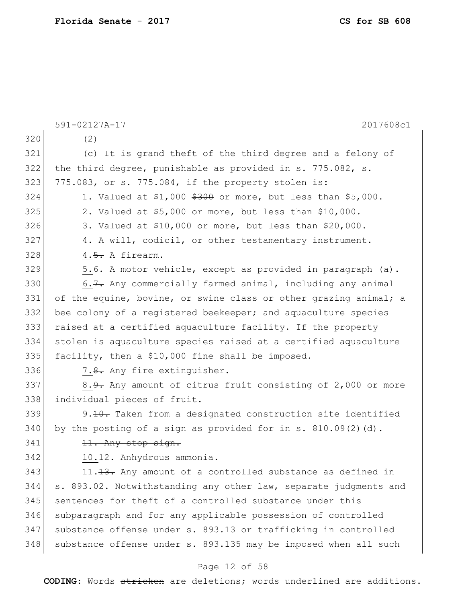|     | 591-02127A-17<br>2017608c1                                              |  |  |  |
|-----|-------------------------------------------------------------------------|--|--|--|
| 320 | (2)                                                                     |  |  |  |
| 321 | (c) It is grand theft of the third degree and a felony of               |  |  |  |
| 322 | the third degree, punishable as provided in s. 775.082, s.              |  |  |  |
| 323 | 775.083, or s. 775.084, if the property stolen is:                      |  |  |  |
| 324 | 1. Valued at \$1,000 $$300$ or more, but less than \$5,000.             |  |  |  |
| 325 | 2. Valued at \$5,000 or more, but less than \$10,000.                   |  |  |  |
| 326 | 3. Valued at \$10,000 or more, but less than \$20,000.                  |  |  |  |
| 327 | 4. A will, codicil, or other testamentary instrument.                   |  |  |  |
| 328 | 4.5. A firearm.                                                         |  |  |  |
| 329 | 5. <del>6.</del> A motor vehicle, except as provided in paragraph (a).  |  |  |  |
| 330 | 6.7. Any commercially farmed animal, including any animal               |  |  |  |
| 331 | of the equine, bovine, or swine class or other grazing animal; a        |  |  |  |
| 332 | bee colony of a registered beekeeper; and aquaculture species           |  |  |  |
| 333 | raised at a certified aquaculture facility. If the property             |  |  |  |
| 334 | stolen is aquaculture species raised at a certified aquaculture         |  |  |  |
| 335 | facility, then a \$10,000 fine shall be imposed.                        |  |  |  |
| 336 | 7.8. Any fire extinguisher.                                             |  |  |  |
| 337 | 8. <del>9.</del> Any amount of citrus fruit consisting of 2,000 or more |  |  |  |
| 338 | individual pieces of fruit.                                             |  |  |  |
| 339 | 9.10. Taken from a designated construction site identified              |  |  |  |
| 340 | by the posting of a sign as provided for in s. $810.09(2)$ (d).         |  |  |  |
| 341 | 11. Any stop sign.                                                      |  |  |  |
| 342 | 10.12. Anhydrous ammonia.                                               |  |  |  |
| 343 | 11. <del>13.</del> Any amount of a controlled substance as defined in   |  |  |  |
| 344 | s. 893.02. Notwithstanding any other law, separate judgments and        |  |  |  |
| 345 | sentences for theft of a controlled substance under this                |  |  |  |
| 346 | subparagraph and for any applicable possession of controlled            |  |  |  |
| 347 | substance offense under s. 893.13 or trafficking in controlled          |  |  |  |
| 348 | substance offense under s. 893.135 may be imposed when all such         |  |  |  |
|     | Page 12 of 58                                                           |  |  |  |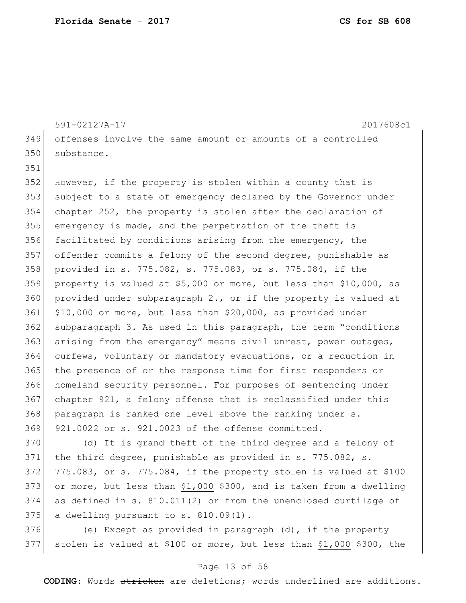591-02127A-17 2017608c1 offenses involve the same amount or amounts of a controlled 350 substance. 352 However, if the property is stolen within a county that is subject to a state of emergency declared by the Governor under chapter 252, the property is stolen after the declaration of emergency is made, and the perpetration of the theft is

 facilitated by conditions arising from the emergency, the offender commits a felony of the second degree, punishable as provided in s. 775.082, s. 775.083, or s. 775.084, if the property is valued at \$5,000 or more, but less than \$10,000, as provided under subparagraph 2., or if the property is valued at \$10,000 or more, but less than \$20,000, as provided under subparagraph 3. As used in this paragraph, the term "conditions arising from the emergency" means civil unrest, power outages, 364 curfews, voluntary or mandatory evacuations, or a reduction in the presence of or the response time for first responders or homeland security personnel. For purposes of sentencing under chapter 921, a felony offense that is reclassified under this 368 paragraph is ranked one level above the ranking under s. 921.0022 or s. 921.0023 of the offense committed.

370 (d) It is grand theft of the third degree and a felony of 371 the third degree, punishable as provided in  $s. 775.082$ , s.  $775.083$ , or s.  $775.084$ , if the property stolen is valued at \$100 373 or more, but less than \$1,000  $$300$ , and is taken from a dwelling as defined in s. 810.011(2) or from the unenclosed curtilage of a dwelling pursuant to s.  $810.09(1)$ .

 (e) Except as provided in paragraph (d), if the property 377 stolen is valued at \$100 or more, but less than \$1,000  $$300$ , the

#### Page 13 of 58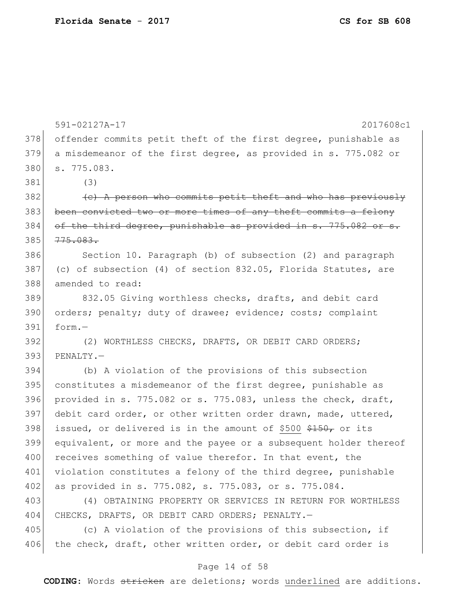|     | 591-02127A-17<br>2017608c1                                       |
|-----|------------------------------------------------------------------|
| 378 | offender commits petit theft of the first degree, punishable as  |
| 379 | a misdemeanor of the first degree, as provided in s. 775.082 or  |
| 380 | s. 775.083.                                                      |
| 381 | (3)                                                              |
| 382 | (e) A person who commits petit theft and who has previously      |
| 383 | been convicted two or more times of any theft commits a felony   |
| 384 | of the third degree, punishable as provided in s. 775.082 or s.  |
| 385 | 775.083.                                                         |
| 386 | Section 10. Paragraph (b) of subsection (2) and paragraph        |
| 387 | (c) of subsection (4) of section 832.05, Florida Statutes, are   |
| 388 | amended to read:                                                 |
| 389 | 832.05 Giving worthless checks, drafts, and debit card           |
| 390 | orders; penalty; duty of drawee; evidence; costs; complaint      |
| 391 | form.-                                                           |
| 392 | (2) WORTHLESS CHECKS, DRAFTS, OR DEBIT CARD ORDERS;              |
| 393 | PENALTY.-                                                        |
| 394 | (b) A violation of the provisions of this subsection             |
| 395 | constitutes a misdemeanor of the first degree, punishable as     |
| 396 | provided in s. 775.082 or s. 775.083, unless the check, draft,   |
| 397 | debit card order, or other written order drawn, made, uttered,   |
| 398 | issued, or delivered is in the amount of \$500 \$150, or its     |
| 399 | equivalent, or more and the payee or a subsequent holder thereof |
| 400 | receives something of value therefor. In that event, the         |
| 401 | violation constitutes a felony of the third degree, punishable   |
| 402 | as provided in s. 775.082, s. 775.083, or s. 775.084.            |
| 403 | (4) OBTAINING PROPERTY OR SERVICES IN RETURN FOR WORTHLESS       |
| 404 | CHECKS, DRAFTS, OR DEBIT CARD ORDERS; PENALTY.-                  |
| 405 | (c) A violation of the provisions of this subsection, if         |
| 406 | the check, draft, other written order, or debit card order is    |
|     |                                                                  |

### Page 14 of 58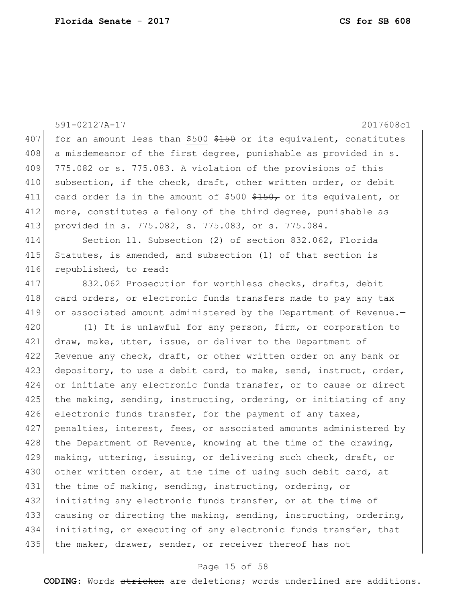|     | 591-02127A-17<br>2017608c1                                                  |  |  |  |  |  |
|-----|-----------------------------------------------------------------------------|--|--|--|--|--|
| 407 | for an amount less than \$500 \$150 or its equivalent, constitutes          |  |  |  |  |  |
| 408 | a misdemeanor of the first degree, punishable as provided in s.             |  |  |  |  |  |
| 409 | 775.082 or s. 775.083. A violation of the provisions of this                |  |  |  |  |  |
| 410 | subsection, if the check, draft, other written order, or debit              |  |  |  |  |  |
| 411 | card order is in the amount of \$500 $\frac{2150}{7}$ or its equivalent, or |  |  |  |  |  |
| 412 | more, constitutes a felony of the third degree, punishable as               |  |  |  |  |  |
| 413 | provided in s. 775.082, s. 775.083, or s. 775.084.                          |  |  |  |  |  |
| 414 | Section 11. Subsection (2) of section 832.062, Florida                      |  |  |  |  |  |
| 415 | Statutes, is amended, and subsection (1) of that section is                 |  |  |  |  |  |
| 416 | republished, to read:                                                       |  |  |  |  |  |
| 417 | 832.062 Prosecution for worthless checks, drafts, debit                     |  |  |  |  |  |
| 418 | card orders, or electronic funds transfers made to pay any tax              |  |  |  |  |  |
| 419 | or associated amount administered by the Department of Revenue.-            |  |  |  |  |  |
| 420 | (1) It is unlawful for any person, firm, or corporation to                  |  |  |  |  |  |
| 421 | draw, make, utter, issue, or deliver to the Department of                   |  |  |  |  |  |
| 422 | Revenue any check, draft, or other written order on any bank or             |  |  |  |  |  |
| 423 | depository, to use a debit card, to make, send, instruct, order,            |  |  |  |  |  |
| 424 | or initiate any electronic funds transfer, or to cause or direct            |  |  |  |  |  |
| 425 | the making, sending, instructing, ordering, or initiating of any            |  |  |  |  |  |
| 426 | electronic funds transfer, for the payment of any taxes,                    |  |  |  |  |  |
| 427 | penalties, interest, fees, or associated amounts administered by            |  |  |  |  |  |
| 428 | the Department of Revenue, knowing at the time of the drawing,              |  |  |  |  |  |
| 429 | making, uttering, issuing, or delivering such check, draft, or              |  |  |  |  |  |
| 430 | other written order, at the time of using such debit card, at               |  |  |  |  |  |
| 431 | the time of making, sending, instructing, ordering, or                      |  |  |  |  |  |
| 432 | initiating any electronic funds transfer, or at the time of                 |  |  |  |  |  |
| 433 | causing or directing the making, sending, instructing, ordering,            |  |  |  |  |  |
| 434 | initiating, or executing of any electronic funds transfer, that             |  |  |  |  |  |
| 435 | the maker, drawer, sender, or receiver thereof has not                      |  |  |  |  |  |
|     |                                                                             |  |  |  |  |  |

### Page 15 of 58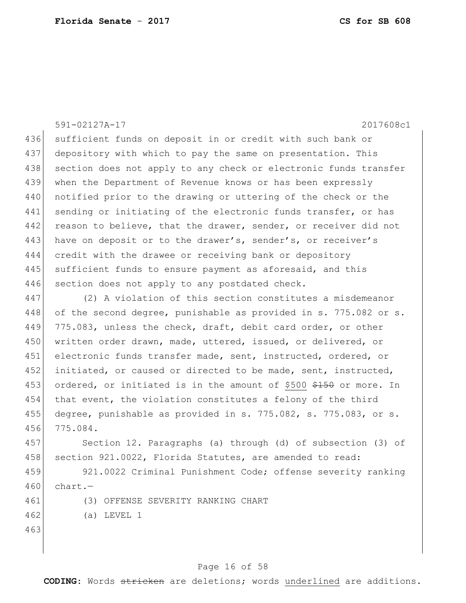591-02127A-17 2017608c1 436 sufficient funds on deposit in or credit with such bank or 437 depository with which to pay the same on presentation. This 438 section does not apply to any check or electronic funds transfer 439 when the Department of Revenue knows or has been expressly 440 notified prior to the drawing or uttering of the check or the 441 sending or initiating of the electronic funds transfer, or has 442 reason to believe, that the drawer, sender, or receiver did not 443 have on deposit or to the drawer's, sender's, or receiver's 444 credit with the drawee or receiving bank or depository 445 sufficient funds to ensure payment as aforesaid, and this 446 section does not apply to any postdated check. 447 (2) A violation of this section constitutes a misdemeanor 448 of the second degree, punishable as provided in s. 775.082 or s. 449 775.083, unless the check, draft, debit card order, or other 450 written order drawn, made, uttered, issued, or delivered, or 451 electronic funds transfer made, sent, instructed, ordered, or 452 initiated, or caused or directed to be made, sent, instructed, 453 ordered, or initiated is in the amount of \$500 \$150 or more. In 454 that event, the violation constitutes a felony of the third 455 degree, punishable as provided in s. 775.082, s. 775.083, or s. 456 775.084. 457 Section 12. Paragraphs (a) through (d) of subsection (3) of 458 section 921.0022, Florida Statutes, are amended to read: 459 921.0022 Criminal Punishment Code; offense severity ranking 460 chart.-461 (3) OFFENSE SEVERITY RANKING CHART

- 462 (a) LEVEL 1
- 463

#### Page 16 of 58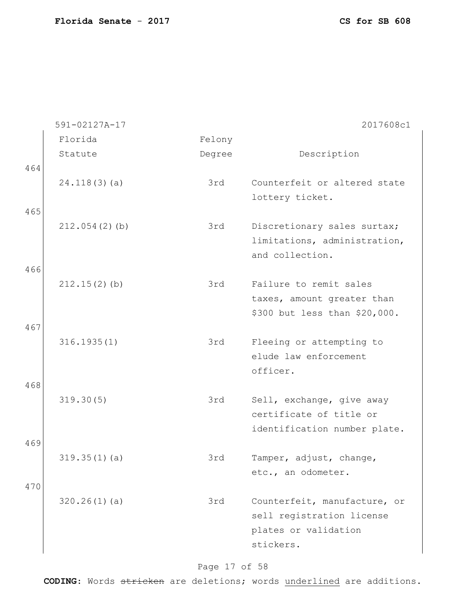|     | 591-02127A-17   |        | 2017608c1                     |
|-----|-----------------|--------|-------------------------------|
|     | Florida         | Felony |                               |
|     | Statute         | Degree | Description                   |
| 464 |                 |        |                               |
|     | 24.118(3)(a)    | 3rd    | Counterfeit or altered state  |
|     |                 |        | lottery ticket.               |
| 465 |                 |        |                               |
|     | 212.054(2)(b)   | 3rd    | Discretionary sales surtax;   |
|     |                 |        | limitations, administration,  |
|     |                 |        | and collection.               |
| 466 |                 |        |                               |
|     | $212.15(2)$ (b) | 3rd    | Failure to remit sales        |
|     |                 |        | taxes, amount greater than    |
|     |                 |        | \$300 but less than \$20,000. |
| 467 |                 |        |                               |
|     | 316.1935(1)     | 3rd    | Fleeing or attempting to      |
|     |                 |        | elude law enforcement         |
|     |                 |        | officer.                      |
| 468 |                 |        |                               |
|     | 319.30(5)       | 3rd    | Sell, exchange, give away     |
|     |                 |        | certificate of title or       |
|     |                 |        | identification number plate.  |
| 469 |                 |        |                               |
|     | 319.35(1)(a)    | 3rd    | Tamper, adjust, change,       |
|     |                 |        | etc., an odometer.            |
| 470 |                 |        |                               |
|     | 320.26(1)(a)    | 3rd    | Counterfeit, manufacture, or  |
|     |                 |        | sell registration license     |
|     |                 |        | plates or validation          |
|     |                 |        | stickers.                     |

### Page 17 of 58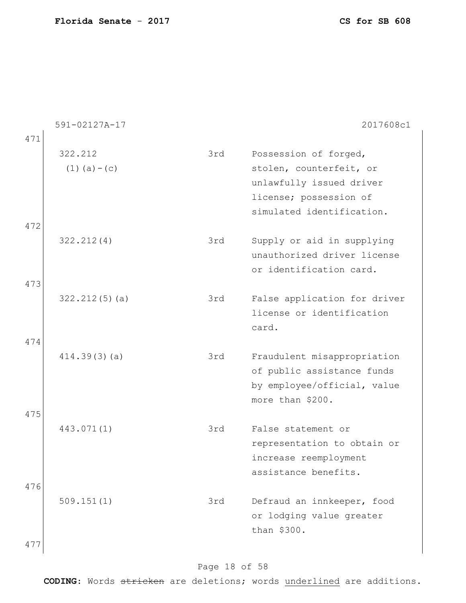|            | 591-02127A-17                |     | 2017608c1                                                                                                                           |
|------------|------------------------------|-----|-------------------------------------------------------------------------------------------------------------------------------------|
| 471        | 322.212<br>$(1)$ $(a) - (c)$ | 3rd | Possession of forged,<br>stolen, counterfeit, or<br>unlawfully issued driver<br>license; possession of<br>simulated identification. |
| 472<br>473 | 322.212(4)                   | 3rd | Supply or aid in supplying<br>unauthorized driver license<br>or identification card.                                                |
|            | 322.212(5)(a)                | 3rd | False application for driver<br>license or identification<br>card.                                                                  |
| 474        | 414.39(3)(a)                 | 3rd | Fraudulent misappropriation<br>of public assistance funds<br>by employee/official, value<br>more than \$200.                        |
| 475<br>476 | 443.071(1)                   | 3rd | False statement or<br>representation to obtain or<br>increase reemployment<br>assistance benefits.                                  |
| 477        | 509.151(1)                   | 3rd | Defraud an innkeeper, food<br>or lodging value greater<br>than \$300.                                                               |

### Page 18 of 58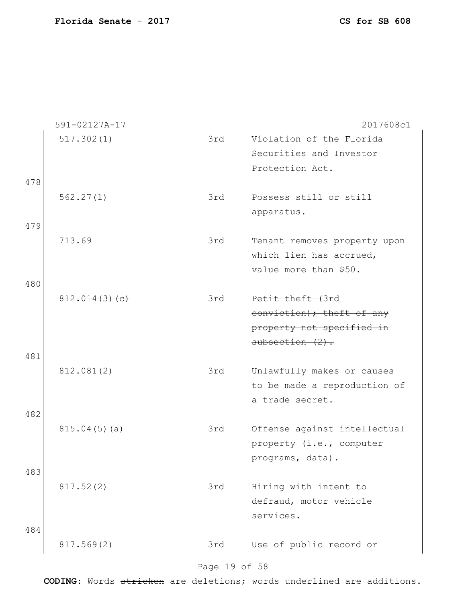|     | 591-02127A-17 |                | 2017608c1                                                  |
|-----|---------------|----------------|------------------------------------------------------------|
|     | 517.302(1)    | 3rd            | Violation of the Florida                                   |
|     |               |                | Securities and Investor                                    |
|     |               |                | Protection Act.                                            |
| 478 |               |                |                                                            |
|     | 562.27(1)     | 3rd            | Possess still or still                                     |
|     |               |                | apparatus.                                                 |
| 479 |               |                |                                                            |
|     | 713.69        | 3rd            | Tenant removes property upon                               |
|     |               |                | which lien has accrued,                                    |
|     |               |                | value more than \$50.                                      |
| 480 |               |                |                                                            |
|     | 812.014(3)(e) | <del>3rd</del> | Petit theft (3rd                                           |
|     |               |                | conviction); theft of any                                  |
|     |               |                | property not specified in                                  |
|     |               |                | $subsection (2)$ .                                         |
| 481 |               | 3rd            |                                                            |
|     | 812.081(2)    |                | Unlawfully makes or causes<br>to be made a reproduction of |
|     |               |                | a trade secret.                                            |
| 482 |               |                |                                                            |
|     | 815.04(5)(a)  | 3rd            | Offense against intellectual                               |
|     |               |                | property (i.e., computer                                   |
|     |               |                | programs, data).                                           |
| 483 |               |                |                                                            |
|     | 817.52(2)     | 3rd            | Hiring with intent to                                      |
|     |               |                | defraud, motor vehicle                                     |
|     |               |                | services.                                                  |
| 484 |               |                |                                                            |
|     | 817.569(2)    | 3rd            | Use of public record or                                    |
|     |               |                |                                                            |
|     |               | Page 19 of 58  |                                                            |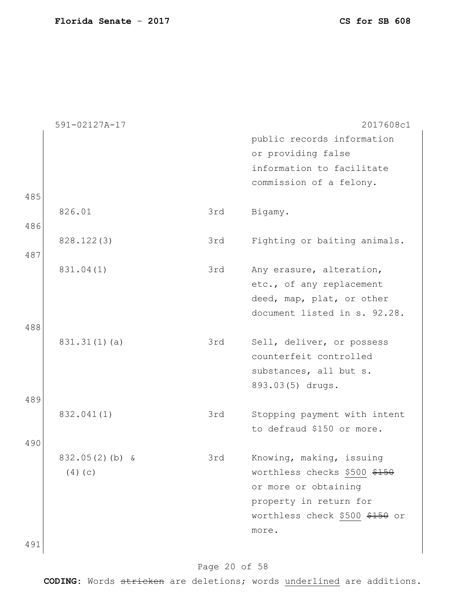|     | 591-02127A-17    |     | 2017608c1                                                 |
|-----|------------------|-----|-----------------------------------------------------------|
|     |                  |     | public records information                                |
|     |                  |     | or providing false                                        |
|     |                  |     | information to facilitate                                 |
|     |                  |     | commission of a felony.                                   |
| 485 |                  |     |                                                           |
|     | 826.01           | 3rd | Bigamy.                                                   |
| 486 |                  |     |                                                           |
|     | 828.122(3)       | 3rd | Fighting or baiting animals.                              |
| 487 |                  |     |                                                           |
|     | 831.04(1)        | 3rd | Any erasure, alteration,                                  |
|     |                  |     | etc., of any replacement                                  |
|     |                  |     | deed, map, plat, or other<br>document listed in s. 92.28. |
| 488 |                  |     |                                                           |
|     | 831.31(1)(a)     | 3rd | Sell, deliver, or possess                                 |
|     |                  |     | counterfeit controlled                                    |
|     |                  |     | substances, all but s.                                    |
|     |                  |     | 893.03(5) drugs.                                          |
| 489 |                  |     |                                                           |
|     | 832.041(1)       | 3rd | Stopping payment with intent                              |
|     |                  |     | to defraud \$150 or more.                                 |
| 490 |                  |     |                                                           |
|     | $832.05(2)(b)$ & | 3rd | Knowing, making, issuing                                  |
|     | (4)(c)           |     | worthless checks \$500 \$150                              |
|     |                  |     | or more or obtaining                                      |
|     |                  |     | property in return for                                    |
|     |                  |     | worthless check \$500 \$150 or                            |
|     |                  |     | more.                                                     |
| 491 |                  |     |                                                           |

### Page 20 of 58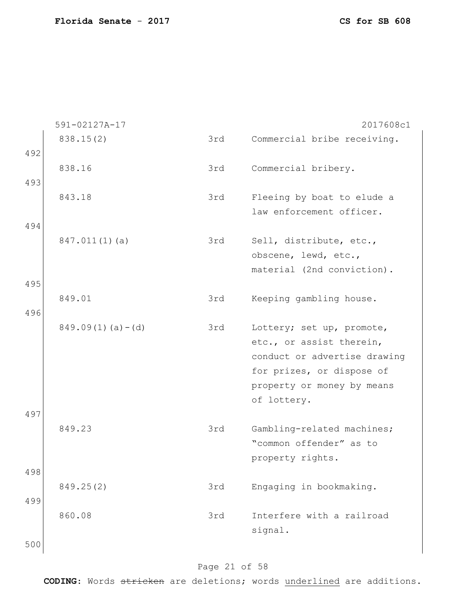|     | 591-02127A-17          |     | 2017608c1                    |
|-----|------------------------|-----|------------------------------|
|     | 838.15(2)              | 3rd | Commercial bribe receiving.  |
| 492 |                        |     |                              |
|     | 838.16                 | 3rd | Commercial bribery.          |
| 493 |                        |     |                              |
|     | 843.18                 | 3rd | Fleeing by boat to elude a   |
|     |                        |     | law enforcement officer.     |
| 494 |                        |     |                              |
|     |                        |     |                              |
|     | $847.011(1)$ (a)       | 3rd | Sell, distribute, etc.,      |
|     |                        |     | obscene, lewd, etc.,         |
|     |                        |     | material (2nd conviction).   |
| 495 |                        |     |                              |
|     | 849.01                 | 3rd | Keeping gambling house.      |
| 496 |                        |     |                              |
|     | $849.09(1)$ (a) $-(d)$ | 3rd | Lottery; set up, promote,    |
|     |                        |     | etc., or assist therein,     |
|     |                        |     |                              |
|     |                        |     | conduct or advertise drawing |
|     |                        |     | for prizes, or dispose of    |
|     |                        |     | property or money by means   |
|     |                        |     | of lottery.                  |
| 497 |                        |     |                              |
|     | 849.23                 | 3rd | Gambling-related machines;   |
|     |                        |     | "common offender" as to      |
|     |                        |     |                              |
|     |                        |     | property rights.             |
| 498 |                        |     |                              |
|     | 849.25(2)              | 3rd | Engaging in bookmaking.      |
| 499 |                        |     |                              |
|     | 860.08                 | 3rd | Interfere with a railroad    |
|     |                        |     | signal.                      |
|     |                        |     |                              |
| 500 |                        |     |                              |

### Page 21 of 58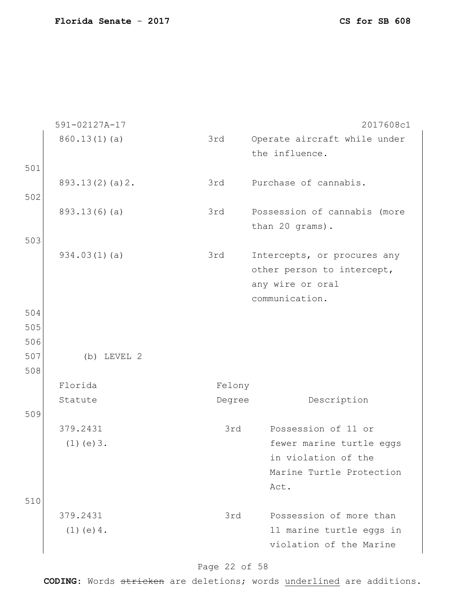|     | 591-02127A-17   |        | 2017608c1                                                                                       |
|-----|-----------------|--------|-------------------------------------------------------------------------------------------------|
|     | 860.13(1)(a)    | 3rd    | Operate aircraft while under<br>the influence.                                                  |
| 501 |                 |        |                                                                                                 |
|     | 893.13(2)(a)2.  | 3rd    | Purchase of cannabis.                                                                           |
| 502 |                 |        |                                                                                                 |
|     | 893.13(6)(a)    | 3rd    | Possession of cannabis (more<br>than 20 grams).                                                 |
| 503 |                 |        |                                                                                                 |
|     | 934.03(1)(a)    | 3rd    | Intercepts, or procures any<br>other person to intercept,<br>any wire or oral<br>communication. |
| 504 |                 |        |                                                                                                 |
| 505 |                 |        |                                                                                                 |
| 506 |                 |        |                                                                                                 |
| 507 | $(b)$ LEVEL $2$ |        |                                                                                                 |
| 508 |                 |        |                                                                                                 |
|     | Florida         | Felony |                                                                                                 |
|     | Statute         | Degree | Description                                                                                     |
| 509 |                 |        |                                                                                                 |
|     | 379.2431        | 3rd    | Possession of 11 or                                                                             |
|     | $(1)$ (e) $3$ . |        | fewer marine turtle eggs                                                                        |
|     |                 |        | in violation of the                                                                             |
|     |                 |        | Marine Turtle Protection                                                                        |
|     |                 |        | Act.                                                                                            |
| 510 |                 |        |                                                                                                 |
|     | 379.2431        | 3rd    | Possession of more than                                                                         |
|     | $(1)$ (e) 4.    |        | 11 marine turtle eggs in<br>violation of the Marine                                             |

### Page 22 of 58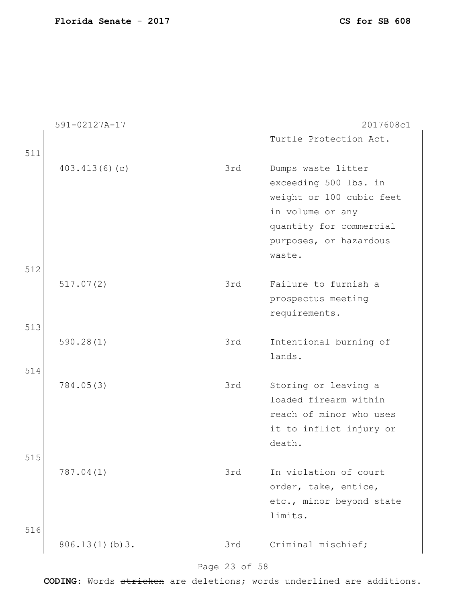|     | 591-02127A-17  |     | 2017608c1                |
|-----|----------------|-----|--------------------------|
|     |                |     | Turtle Protection Act.   |
| 511 |                |     |                          |
|     | 403.413(6)(c)  | 3rd | Dumps waste litter       |
|     |                |     | exceeding 500 lbs. in    |
|     |                |     | weight or 100 cubic feet |
|     |                |     | in volume or any         |
|     |                |     | quantity for commercial  |
|     |                |     | purposes, or hazardous   |
|     |                |     | waste.                   |
| 512 |                |     |                          |
|     | 517.07(2)      | 3rd | Failure to furnish a     |
|     |                |     | prospectus meeting       |
|     |                |     | requirements.            |
| 513 |                |     |                          |
|     | 590.28(1)      | 3rd | Intentional burning of   |
|     |                |     | lands.                   |
| 514 | 784.05(3)      | 3rd | Storing or leaving a     |
|     |                |     | loaded firearm within    |
|     |                |     | reach of minor who uses  |
|     |                |     | it to inflict injury or  |
|     |                |     | death.                   |
| 515 |                |     |                          |
|     | 787.04(1)      | 3rd | In violation of court    |
|     |                |     | order, take, entice,     |
|     |                |     | etc., minor beyond state |
|     |                |     | limits.                  |
| 516 |                |     |                          |
|     | 806.13(1)(b)3. | 3rd | Criminal mischief;       |
|     |                |     |                          |

### Page 23 of 58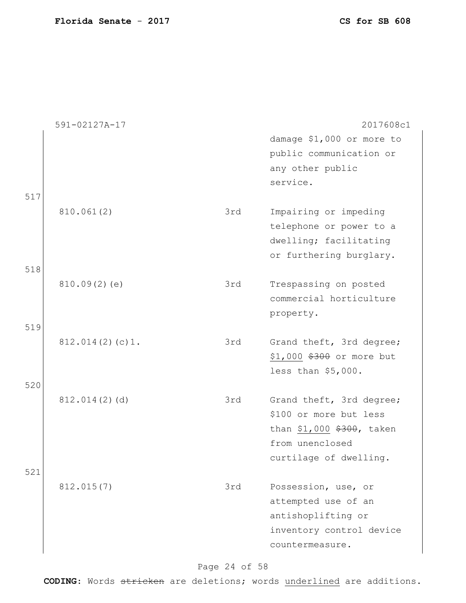|     | 591-02127A-17   |     | 2017608c1                                                                                                                    |
|-----|-----------------|-----|------------------------------------------------------------------------------------------------------------------------------|
| 517 |                 |     | damage \$1,000 or more to<br>public communication or<br>any other public<br>service.                                         |
| 518 | 810.061(2)      | 3rd | Impairing or impeding<br>telephone or power to a<br>dwelling; facilitating<br>or furthering burglary.                        |
| 519 | 810.09(2)(e)    | 3rd | Trespassing on posted<br>commercial horticulture<br>property.                                                                |
| 520 | 812.014(2)(c)1. | 3rd | Grand theft, 3rd degree;<br>\$1,000 \$300 or more but<br>less than $$5,000$ .                                                |
| 521 | 812.014(2)(d)   | 3rd | Grand theft, 3rd degree;<br>\$100 or more but less<br>than \$1,000 \$300, taken<br>from unenclosed<br>curtilage of dwelling. |
|     | 812.015(7)      | 3rd | Possession, use, or<br>attempted use of an<br>antishoplifting or<br>inventory control device<br>countermeasure.              |

Page 24 of 58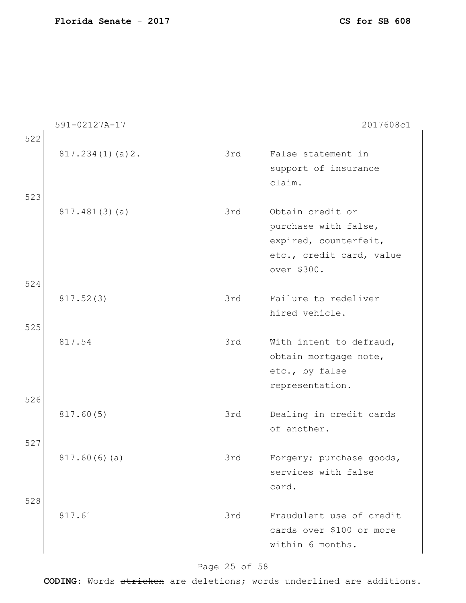|     | 591-02127A-17   |     | 2017608c1                                                                                                    |
|-----|-----------------|-----|--------------------------------------------------------------------------------------------------------------|
| 522 |                 |     |                                                                                                              |
| 523 | 817.234(1)(a)2. | 3rd | False statement in<br>support of insurance<br>claim.                                                         |
|     | 817.481(3)(a)   | 3rd | Obtain credit or<br>purchase with false,<br>expired, counterfeit,<br>etc., credit card, value<br>over \$300. |
| 524 |                 |     |                                                                                                              |
|     | 817.52(3)       | 3rd | Failure to redeliver<br>hired vehicle.                                                                       |
| 525 |                 |     |                                                                                                              |
|     | 817.54          | 3rd | With intent to defraud,<br>obtain mortgage note,<br>etc., by false<br>representation.                        |
| 526 | 817.60(5)       | 3rd | Dealing in credit cards<br>of another.                                                                       |
| 527 |                 |     |                                                                                                              |
|     | 817.60(6)(a)    | 3rd | Forgery; purchase goods,<br>services with false<br>card.                                                     |
| 528 |                 |     |                                                                                                              |
|     | 817.61          | 3rd | Fraudulent use of credit<br>cards over \$100 or more<br>within 6 months.                                     |

### Page 25 of 58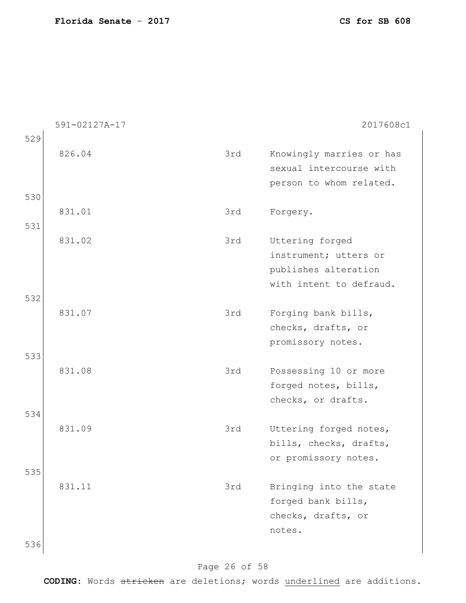|     | 591-02127A-17 |     | 2017608c1                |
|-----|---------------|-----|--------------------------|
| 529 |               |     |                          |
|     | 826.04        | 3rd | Knowingly marries or has |
|     |               |     | sexual intercourse with  |
|     |               |     | person to whom related.  |
| 530 |               |     |                          |
|     | 831.01        | 3rd | Forgery.                 |
| 531 |               |     |                          |
|     | 831.02        | 3rd | Uttering forged          |
|     |               |     | instrument; utters or    |
|     |               |     | publishes alteration     |
|     |               |     | with intent to defraud.  |
| 532 |               |     |                          |
|     | 831.07        | 3rd | Forging bank bills,      |
|     |               |     | checks, drafts, or       |
|     |               |     | promissory notes.        |
| 533 |               |     |                          |
|     | 831.08        | 3rd | Possessing 10 or more    |
|     |               |     | forged notes, bills,     |
|     |               |     | checks, or drafts.       |
| 534 |               |     |                          |
|     | 831.09        | 3rd | Uttering forged notes,   |
|     |               |     | bills, checks, drafts,   |
|     |               |     | or promissory notes.     |
| 535 |               |     |                          |
|     | 831.11        | 3rd | Bringing into the state  |
|     |               |     | forged bank bills,       |
|     |               |     | checks, drafts, or       |
|     |               |     | notes.                   |
| 536 |               |     |                          |

### Page 26 of 58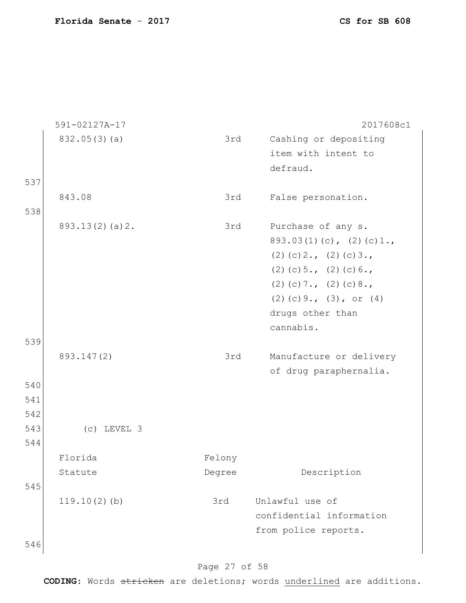|     | 591-02127A-17  |        | 2017608c1                   |
|-----|----------------|--------|-----------------------------|
|     | 832.05(3)(a)   | 3rd    | Cashing or depositing       |
|     |                |        | item with intent to         |
|     |                |        | defraud.                    |
| 537 |                |        |                             |
|     | 843.08         | 3rd    | False personation.          |
| 538 |                |        |                             |
|     | 893.13(2)(a)2. | 3rd    | Purchase of any s.          |
|     |                |        | $893.03(1)(c)$ , $(2)(c)1.$ |
|     |                |        | $(2)$ (c) 2., (2) (c) 3.,   |
|     |                |        | $(2)$ (c) 5., (2) (c) 6.,   |
|     |                |        | $(2)$ (c) 7., (2) (c) 8.,   |
|     |                |        | $(2)$ (c) 9., (3), or (4)   |
|     |                |        | drugs other than            |
|     |                |        | cannabis.                   |
| 539 |                |        |                             |
|     | 893.147(2)     | 3rd    | Manufacture or delivery     |
|     |                |        | of drug paraphernalia.      |
| 540 |                |        |                             |
| 541 |                |        |                             |
| 542 |                |        |                             |
| 543 | $(c)$ LEVEL 3  |        |                             |
| 544 |                |        |                             |
|     | Florida        | Felony |                             |
|     | Statute        | Degree | Description                 |
| 545 |                |        |                             |
|     | 119.10(2)(b)   | 3rd    | Unlawful use of             |
|     |                |        | confidential information    |
|     |                |        | from police reports.        |
| 546 |                |        |                             |
|     |                |        |                             |

### Page 27 of 58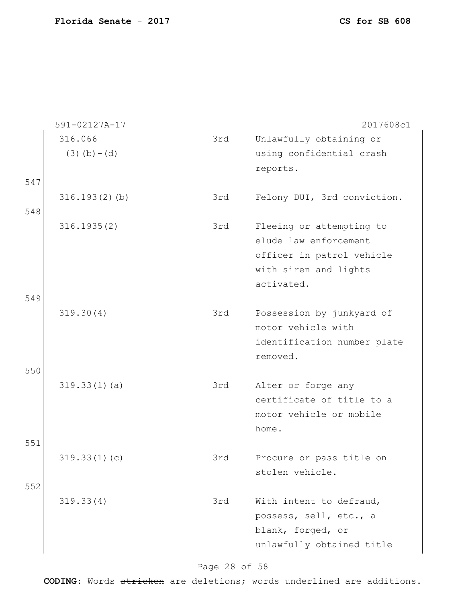|     | 591-02127A-17                |     | 2017608c1                                           |
|-----|------------------------------|-----|-----------------------------------------------------|
|     | 316.066<br>$(3)$ (b) $-$ (d) | 3rd | Unlawfully obtaining or<br>using confidential crash |
|     |                              |     | reports.                                            |
| 547 |                              |     |                                                     |
|     | 316.193(2)(b)                | 3rd | Felony DUI, 3rd conviction.                         |
| 548 |                              |     |                                                     |
|     | 316.1935(2)                  | 3rd | Fleeing or attempting to<br>elude law enforcement   |
|     |                              |     | officer in patrol vehicle                           |
|     |                              |     | with siren and lights                               |
|     |                              |     | activated.                                          |
| 549 |                              |     |                                                     |
|     | 319.30(4)                    | 3rd | Possession by junkyard of                           |
|     |                              |     | motor vehicle with                                  |
|     |                              |     | identification number plate                         |
|     |                              |     | removed.                                            |
| 550 |                              |     |                                                     |
|     | 319.33(1)(a)                 | 3rd | Alter or forge any                                  |
|     |                              |     | certificate of title to a                           |
|     |                              |     | motor vehicle or mobile                             |
|     |                              |     | home.                                               |
| 551 |                              |     |                                                     |
|     | 319.33(1)(c)                 | 3rd | Procure or pass title on                            |
|     |                              |     | stolen vehicle.                                     |
| 552 |                              |     |                                                     |
|     | 319.33(4)                    | 3rd | With intent to defraud,                             |
|     |                              |     | possess, sell, etc., a                              |
|     |                              |     | blank, forged, or                                   |
|     |                              |     | unlawfully obtained title                           |
|     |                              |     |                                                     |

Page 28 of 58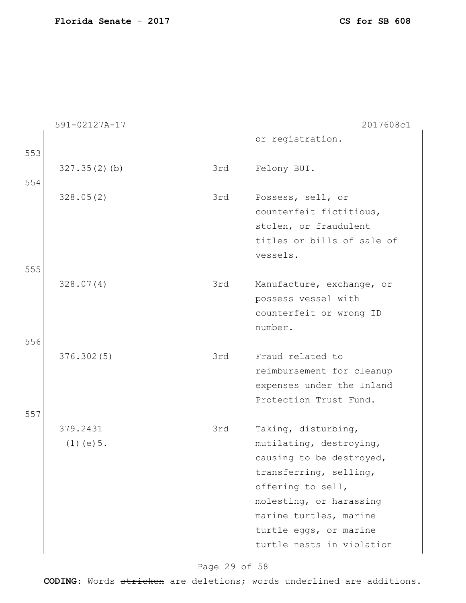|     | 591-02127A-17   |     | 2017608c1                  |
|-----|-----------------|-----|----------------------------|
|     |                 |     | or registration.           |
| 553 |                 |     |                            |
|     | 327.35(2)(b)    | 3rd | Felony BUI.                |
| 554 |                 |     |                            |
|     | 328.05(2)       | 3rd | Possess, sell, or          |
|     |                 |     | counterfeit fictitious,    |
|     |                 |     | stolen, or fraudulent      |
|     |                 |     | titles or bills of sale of |
|     |                 |     | vessels.                   |
| 555 |                 |     |                            |
|     | 328.07(4)       | 3rd | Manufacture, exchange, or  |
|     |                 |     | possess vessel with        |
|     |                 |     | counterfeit or wrong ID    |
|     |                 |     | number.                    |
| 556 |                 |     |                            |
|     | 376.302(5)      | 3rd | Fraud related to           |
|     |                 |     | reimbursement for cleanup  |
|     |                 |     | expenses under the Inland  |
|     |                 |     | Protection Trust Fund.     |
| 557 |                 |     |                            |
|     | 379.2431        | 3rd | Taking, disturbing,        |
|     | $(1)$ (e) $5$ . |     | mutilating, destroying,    |
|     |                 |     | causing to be destroyed,   |
|     |                 |     | transferring, selling,     |
|     |                 |     | offering to sell,          |
|     |                 |     | molesting, or harassing    |
|     |                 |     | marine turtles, marine     |
|     |                 |     | turtle eggs, or marine     |
|     |                 |     | turtle nests in violation  |

### Page 29 of 58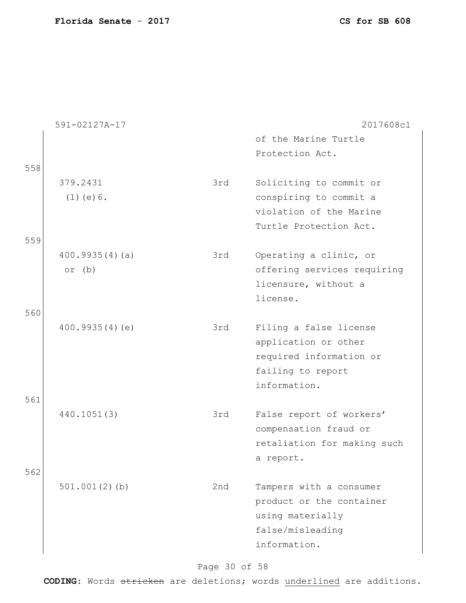|     | 591-02127A-17    |     | 2017608c1                   |
|-----|------------------|-----|-----------------------------|
|     |                  |     | of the Marine Turtle        |
|     |                  |     | Protection Act.             |
| 558 |                  |     |                             |
|     | 379.2431         | 3rd | Soliciting to commit or     |
|     | $(1)$ (e) $6$ .  |     | conspiring to commit a      |
|     |                  |     | violation of the Marine     |
|     |                  |     | Turtle Protection Act.      |
| 559 |                  |     |                             |
|     | 400.9935(4)(a)   | 3rd | Operating a clinic, or      |
|     | or $(b)$         |     | offering services requiring |
|     |                  |     | licensure, without a        |
|     |                  |     | license.                    |
| 560 |                  |     |                             |
|     | 400.9935(4)(e)   | 3rd | Filing a false license      |
|     |                  |     | application or other        |
|     |                  |     | required information or     |
|     |                  |     | failing to report           |
|     |                  |     | information.                |
| 561 |                  |     |                             |
|     | 440.1051(3)      | 3rd | False report of workers'    |
|     |                  |     | compensation fraud or       |
|     |                  |     | retaliation for making such |
|     |                  |     | a report.                   |
| 562 |                  |     |                             |
|     | $501.001(2)$ (b) | 2nd | Tampers with a consumer     |
|     |                  |     | product or the container    |
|     |                  |     | using materially            |
|     |                  |     | false/misleading            |
|     |                  |     | information.                |
|     |                  |     |                             |

Page 30 of 58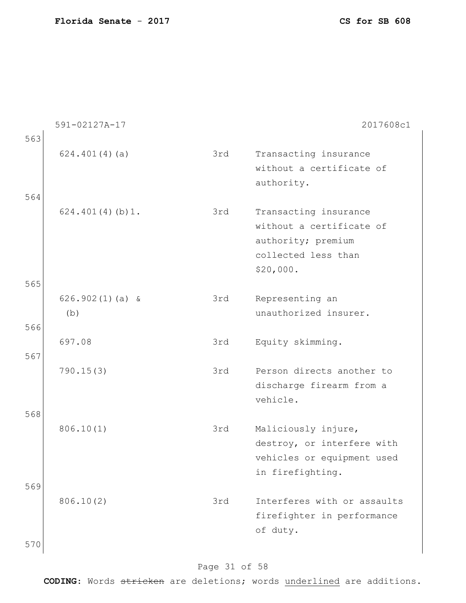|            | 591-02127A-17            |     | 2017608c1                                                                                                   |
|------------|--------------------------|-----|-------------------------------------------------------------------------------------------------------------|
| 563<br>564 | 624.401(4)(a)            | 3rd | Transacting insurance<br>without a certificate of<br>authority.                                             |
|            | 624.401(4)(b)1.          | 3rd | Transacting insurance<br>without a certificate of<br>authority; premium<br>collected less than<br>\$20,000. |
| 565<br>566 | $626.902(1)(a)$ &<br>(b) | 3rd | Representing an<br>unauthorized insurer.                                                                    |
| 567        | 697.08                   | 3rd | Equity skimming.                                                                                            |
|            | 790.15(3)                | 3rd | Person directs another to<br>discharge firearm from a<br>vehicle.                                           |
| 568<br>569 | 806.10(1)                | 3rd | Maliciously injure,<br>destroy, or interfere with<br>vehicles or equipment used<br>in firefighting.         |
| 570        | 806.10(2)                | 3rd | Interferes with or assaults<br>firefighter in performance<br>of duty.                                       |

### Page 31 of 58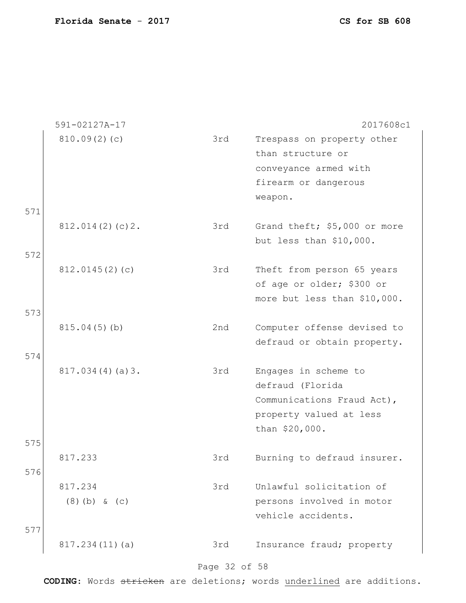|            | 591-02127A-17              |               | 2017608c1                                                                                                           |
|------------|----------------------------|---------------|---------------------------------------------------------------------------------------------------------------------|
|            | 810.09(2)(c)               | 3rd           | Trespass on property other<br>than structure or<br>conveyance armed with<br>firearm or dangerous<br>weapon.         |
| 571<br>572 | 812.014(2)(c)2.            | 3rd           | Grand theft; \$5,000 or more<br>but less than \$10,000.                                                             |
| 573        | 812.0145(2)(c)             | 3rd           | Theft from person 65 years<br>of age or older; \$300 or<br>more but less than \$10,000.                             |
|            | 815.04(5)(b)               | 2nd           | Computer offense devised to<br>defraud or obtain property.                                                          |
| 574        | 817.034(4)(a)3.            | 3rd           | Engages in scheme to<br>defraud (Florida<br>Communications Fraud Act),<br>property valued at less<br>than \$20,000. |
| 575<br>576 | 817.233                    | 3rd           | Burning to defraud insurer.                                                                                         |
| 577        | 817.234<br>$(8)$ (b) & (c) | 3rd           | Unlawful solicitation of<br>persons involved in motor<br>vehicle accidents.                                         |
|            | 817.234(11)(a)             | 3rd           | Insurance fraud; property                                                                                           |
|            |                            | Page 32 of 58 |                                                                                                                     |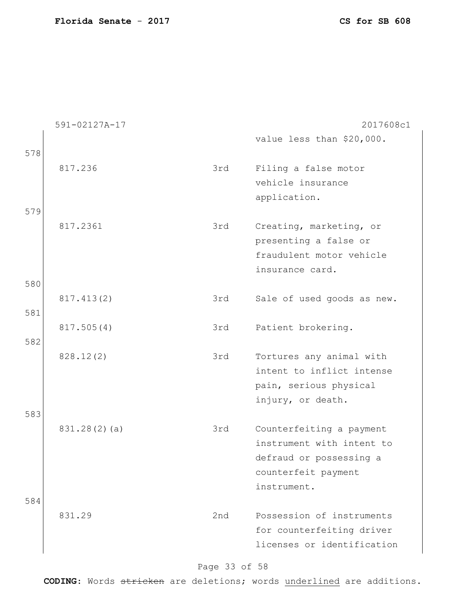|     | 591-02127A-17 |     | 2017608c1                  |
|-----|---------------|-----|----------------------------|
|     |               |     | value less than \$20,000.  |
| 578 |               |     |                            |
|     | 817.236       | 3rd | Filing a false motor       |
|     |               |     | vehicle insurance          |
|     |               |     |                            |
|     |               |     | application.               |
| 579 |               |     |                            |
|     | 817.2361      | 3rd | Creating, marketing, or    |
|     |               |     | presenting a false or      |
|     |               |     | fraudulent motor vehicle   |
|     |               |     | insurance card.            |
| 580 |               |     |                            |
|     | 817.413(2)    | 3rd | Sale of used goods as new. |
| 581 |               |     |                            |
|     |               | 3rd |                            |
|     | 817.505(4)    |     | Patient brokering.         |
| 582 |               |     |                            |
|     | 828.12(2)     | 3rd | Tortures any animal with   |
|     |               |     | intent to inflict intense  |
|     |               |     | pain, serious physical     |
|     |               |     | injury, or death.          |
| 583 |               |     |                            |
|     | 831.28(2)(a)  | 3rd | Counterfeiting a payment   |
|     |               |     | instrument with intent to  |
|     |               |     | defraud or possessing a    |
|     |               |     |                            |
|     |               |     | counterfeit payment        |
|     |               |     | instrument.                |
| 584 |               |     |                            |
|     | 831.29        | 2nd | Possession of instruments  |
|     |               |     | for counterfeiting driver  |
|     |               |     | licenses or identification |
|     |               |     |                            |

### Page 33 of 58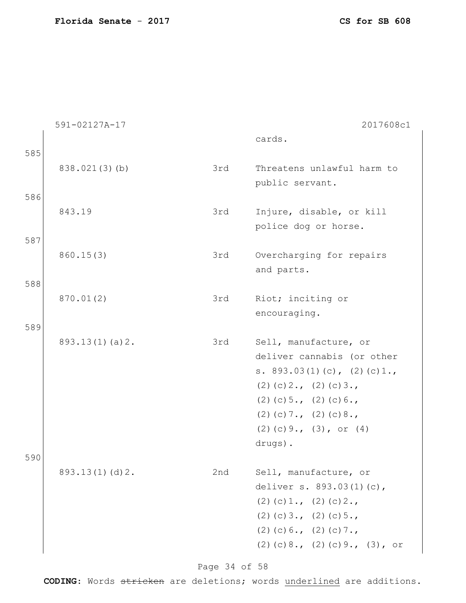|     | 591-02127A-17  |     | 2017608c1                                                                                                                                                                                                            |
|-----|----------------|-----|----------------------------------------------------------------------------------------------------------------------------------------------------------------------------------------------------------------------|
| 585 |                |     | cards.                                                                                                                                                                                                               |
|     | 838.021(3)(b)  | 3rd | Threatens unlawful harm to<br>public servant.                                                                                                                                                                        |
| 586 | 843.19         | 3rd | Injure, disable, or kill<br>police dog or horse.                                                                                                                                                                     |
| 587 | 860.15(3)      | 3rd | Overcharging for repairs<br>and parts.                                                                                                                                                                               |
| 588 | 870.01(2)      | 3rd | Riot; inciting or<br>encouraging.                                                                                                                                                                                    |
| 589 | 893.13(1)(a)2. | 3rd | Sell, manufacture, or<br>deliver cannabis (or other<br>s. $893.03(1)(c)$ , $(2)(c)1.$<br>$(2)$ (c) 2., (2) (c) 3.,<br>$(2)$ (c) 5., (2) (c) 6.,<br>$(2)$ (c) 7., (2) (c) 8.,<br>$(2)$ (c) 9., (3), or (4)<br>drugs). |
| 590 | 893.13(1)(d)2. | 2nd | Sell, manufacture, or<br>deliver s. 893.03(1)(c),<br>$(2)$ (c) 1., (2) (c) 2.,<br>$(2)$ (c) 3., (2) (c) 5.,<br>$(2)$ (c) 6., (2) (c) 7.,<br>$(2)$ (c) 8., (2) (c) 9., (3), or                                        |

Page 34 of 58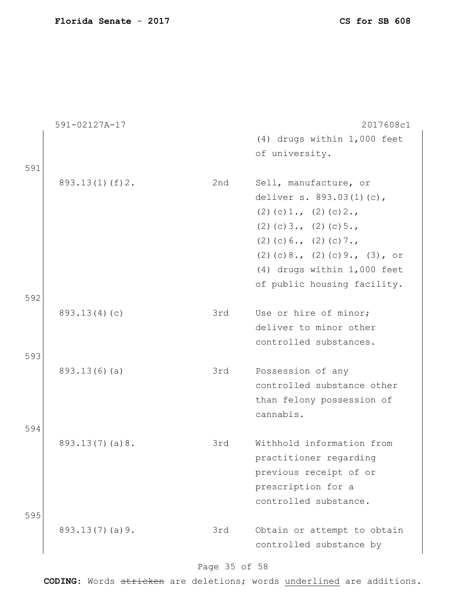|     | 591-02127A-17  |     | 2017608c1                         |
|-----|----------------|-----|-----------------------------------|
|     |                |     | (4) drugs within 1,000 feet       |
|     |                |     | of university.                    |
| 591 |                |     |                                   |
|     | 893.13(1)(f)2. | 2nd | Sell, manufacture, or             |
|     |                |     | deliver s. 893.03(1)(c),          |
|     |                |     | $(2)$ (c) 1., (2) (c) 2.,         |
|     |                |     | $(2)$ (c) 3., (2) (c) 5.,         |
|     |                |     | $(2)$ (c) 6., (2) (c) 7.,         |
|     |                |     | $(2)$ (c) 8., (2) (c) 9., (3), or |
|     |                |     | (4) drugs within 1,000 feet       |
|     |                |     | of public housing facility.       |
| 592 |                |     |                                   |
|     | 893.13(4)(c)   | 3rd | Use or hire of minor;             |
|     |                |     | deliver to minor other            |
|     |                |     | controlled substances.            |
| 593 |                |     |                                   |
|     | 893.13(6)(a)   | 3rd | Possession of any                 |
|     |                |     | controlled substance other        |
|     |                |     | than felony possession of         |
|     |                |     | cannabis.                         |
| 594 |                |     |                                   |
|     | 893.13(7)(a)8. | 3rd | Withhold information from         |
|     |                |     | practitioner regarding            |
|     |                |     | previous receipt of or            |
|     |                |     | prescription for a                |
|     |                |     | controlled substance.             |
| 595 |                |     |                                   |
|     | 893.13(7)(a)9. | 3rd | Obtain or attempt to obtain       |
|     |                |     | controlled substance by           |
|     |                |     |                                   |

### Page 35 of 58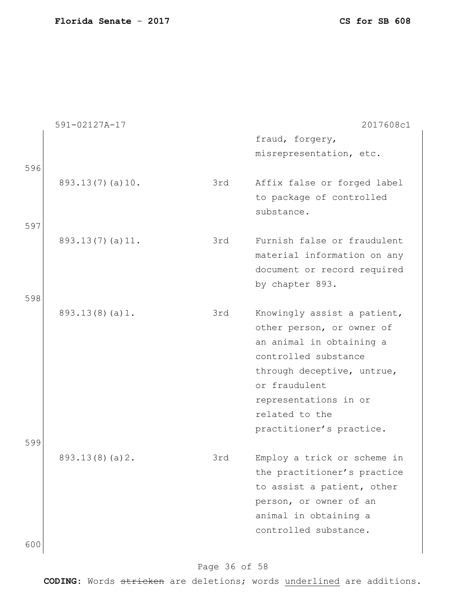|     | 591-02127A-17   |     | 2017608c1                   |
|-----|-----------------|-----|-----------------------------|
|     |                 |     | fraud, forgery,             |
|     |                 |     | misrepresentation, etc.     |
| 596 |                 |     |                             |
|     | 893.13(7)(a)10. | 3rd | Affix false or forged label |
|     |                 |     | to package of controlled    |
|     |                 |     | substance.                  |
|     |                 |     |                             |
| 597 |                 |     |                             |
|     | 893.13(7)(a)11. | 3rd | Furnish false or fraudulent |
|     |                 |     | material information on any |
|     |                 |     | document or record required |
|     |                 |     | by chapter 893.             |
| 598 |                 |     |                             |
|     | 893.13(8)(a)1.  | 3rd | Knowingly assist a patient, |
|     |                 |     | other person, or owner of   |
|     |                 |     | an animal in obtaining a    |
|     |                 |     | controlled substance        |
|     |                 |     | through deceptive, untrue,  |
|     |                 |     | or fraudulent               |
|     |                 |     | representations in or       |
|     |                 |     |                             |
|     |                 |     | related to the              |
|     |                 |     | practitioner's practice.    |
| 599 |                 |     |                             |
|     | 893.13(8)(a)2.  | 3rd | Employ a trick or scheme in |
|     |                 |     | the practitioner's practice |
|     |                 |     | to assist a patient, other  |
|     |                 |     | person, or owner of an      |
|     |                 |     | animal in obtaining a       |
|     |                 |     | controlled substance.       |
| 600 |                 |     |                             |
|     |                 |     |                             |

### Page 36 of 58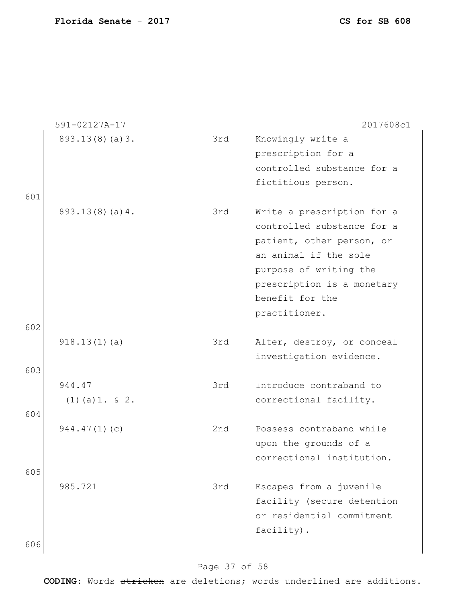|     | 591-02127A-17     |     | 2017608c1                  |
|-----|-------------------|-----|----------------------------|
|     | 893.13(8)(a)3.    | 3rd | Knowingly write a          |
|     |                   |     | prescription for a         |
|     |                   |     | controlled substance for a |
|     |                   |     | fictitious person.         |
| 601 |                   |     |                            |
|     | 893.13(8)(a)4.    | 3rd | Write a prescription for a |
|     |                   |     | controlled substance for a |
|     |                   |     | patient, other person, or  |
|     |                   |     | an animal if the sole      |
|     |                   |     | purpose of writing the     |
|     |                   |     | prescription is a monetary |
|     |                   |     | benefit for the            |
|     |                   |     | practitioner.              |
| 602 |                   |     |                            |
|     | 918.13(1)(a)      | 3rd | Alter, destroy, or conceal |
|     |                   |     | investigation evidence.    |
| 603 |                   |     |                            |
|     | 944.47            | 3rd | Introduce contraband to    |
|     | $(1)$ (a) 1. & 2. |     | correctional facility.     |
| 604 |                   |     |                            |
|     | 944.47(1)(c)      | 2nd | Possess contraband while   |
|     |                   |     | upon the grounds of a      |
|     |                   |     | correctional institution.  |
| 605 |                   |     |                            |
|     | 985.721           | 3rd | Escapes from a juvenile    |
|     |                   |     | facility (secure detention |
|     |                   |     | or residential commitment  |
|     |                   |     | facility).                 |
| 606 |                   |     |                            |
|     |                   |     |                            |

### Page 37 of 58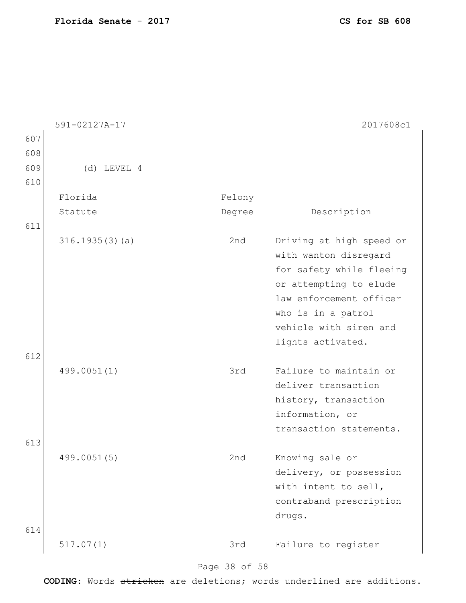|     | 591-02127A-17  |           | 2017608c1                |
|-----|----------------|-----------|--------------------------|
| 607 |                |           |                          |
| 608 |                |           |                          |
| 609 | $(d)$ LEVEL 4  |           |                          |
| 610 |                |           |                          |
|     | Florida        | Felony    |                          |
|     | Statute        | Degree    | Description              |
| 611 |                |           |                          |
|     | 316.1935(3)(a) | 2nd       | Driving at high speed or |
|     |                |           | with wanton disregard    |
|     |                |           | for safety while fleeing |
|     |                |           | or attempting to elude   |
|     |                |           | law enforcement officer  |
|     |                |           | who is in a patrol       |
|     |                |           | vehicle with siren and   |
|     |                |           | lights activated.        |
| 612 |                |           |                          |
|     | 499.0051(1)    | 3rd       | Failure to maintain or   |
|     |                |           | deliver transaction      |
|     |                |           | history, transaction     |
|     |                |           | information, or          |
|     |                |           | transaction statements.  |
| 613 |                |           |                          |
|     | 499.0051(5)    | 2nd       | Knowing sale or          |
|     |                |           | delivery, or possession  |
|     |                |           | with intent to sell,     |
|     |                |           | contraband prescription  |
|     |                |           | drugs.                   |
| 614 |                |           |                          |
|     | 517.07(1)      | 3rd       | Failure to register      |
|     |                | $F$ $R$ 0 |                          |

#### Page 38 of 58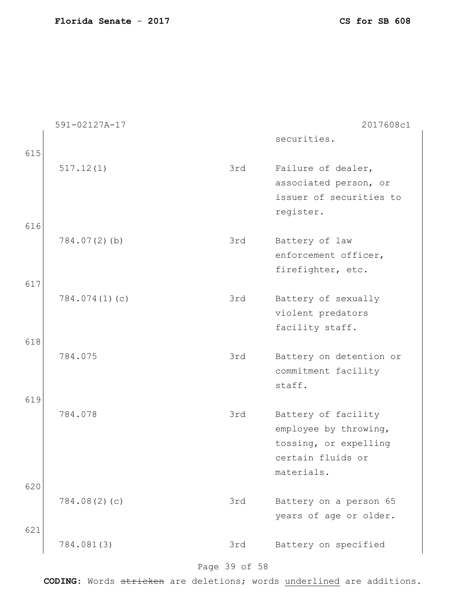|     | 591-02127A-17 |     | 2017608c1                                    |
|-----|---------------|-----|----------------------------------------------|
| 615 |               |     | securities.                                  |
|     | 517.12(1)     | 3rd | Failure of dealer,                           |
|     |               |     | associated person, or                        |
|     |               |     | issuer of securities to                      |
|     |               |     | register.                                    |
| 616 |               |     |                                              |
|     | 784.07(2)(b)  | 3rd | Battery of law                               |
|     |               |     | enforcement officer,                         |
|     |               |     | firefighter, etc.                            |
| 617 |               |     |                                              |
|     | 784.074(1)(c) | 3rd | Battery of sexually                          |
|     |               |     | violent predators                            |
|     |               |     | facility staff.                              |
| 618 |               |     |                                              |
|     | 784.075       | 3rd | Battery on detention or                      |
|     |               |     | commitment facility                          |
|     |               |     | staff.                                       |
| 619 | 784.078       |     |                                              |
|     |               | 3rd | Battery of facility<br>employee by throwing, |
|     |               |     | tossing, or expelling                        |
|     |               |     | certain fluids or                            |
|     |               |     | materials.                                   |
| 620 |               |     |                                              |
|     | 784.08(2)(c)  | 3rd | Battery on a person 65                       |
|     |               |     | years of age or older.                       |
| 621 |               |     |                                              |
|     | 784.081(3)    | 3rd | Battery on specified                         |

### Page 39 of 58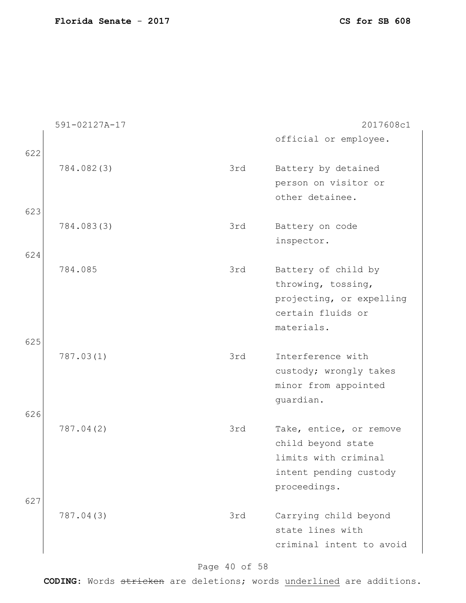|     | 591-02127A-17 |     | 2017608c1                                  |
|-----|---------------|-----|--------------------------------------------|
| 622 |               |     | official or employee.                      |
|     | 784.082(3)    | 3rd | Battery by detained                        |
|     |               |     | person on visitor or                       |
|     |               |     | other detainee.                            |
| 623 |               |     |                                            |
|     | 784.083(3)    | 3rd | Battery on code                            |
|     |               |     | inspector.                                 |
| 624 |               |     |                                            |
|     | 784.085       | 3rd | Battery of child by                        |
|     |               |     | throwing, tossing,                         |
|     |               |     | projecting, or expelling                   |
|     |               |     | certain fluids or                          |
|     |               |     | materials.                                 |
| 625 |               |     |                                            |
|     | 787.03(1)     | 3rd | Interference with                          |
|     |               |     | custody; wrongly takes                     |
|     |               |     | minor from appointed                       |
|     |               |     | guardian.                                  |
| 626 |               |     |                                            |
|     | 787.04(2)     | 3rd | Take, entice, or remove                    |
|     |               |     | child beyond state<br>limits with criminal |
|     |               |     |                                            |
|     |               |     | intent pending custody                     |
| 627 |               |     | proceedings.                               |
|     | 787.04(3)     | 3rd | Carrying child beyond                      |
|     |               |     | state lines with                           |
|     |               |     | criminal intent to avoid                   |
|     |               |     |                                            |

### Page 40 of 58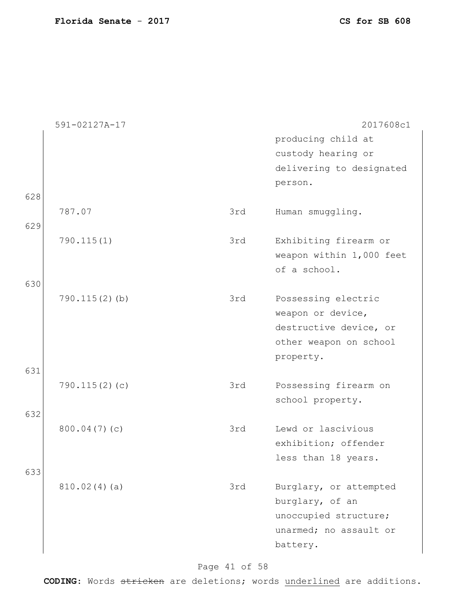|     | 591-02127A-17    |     | 2017608c1                |
|-----|------------------|-----|--------------------------|
|     |                  |     | producing child at       |
|     |                  |     | custody hearing or       |
|     |                  |     | delivering to designated |
|     |                  |     | person.                  |
| 628 |                  |     |                          |
|     | 787.07           | 3rd | Human smuggling.         |
| 629 |                  |     |                          |
|     | 790.115(1)       | 3rd | Exhibiting firearm or    |
|     |                  |     | weapon within 1,000 feet |
|     |                  |     | of a school.             |
| 630 |                  |     |                          |
|     | $790.115(2)$ (b) | 3rd | Possessing electric      |
|     |                  |     | weapon or device,        |
|     |                  |     | destructive device, or   |
|     |                  |     | other weapon on school   |
|     |                  |     | property.                |
| 631 |                  |     |                          |
|     | 790.115(2)(c)    | 3rd | Possessing firearm on    |
|     |                  |     | school property.         |
| 632 |                  |     |                          |
|     | 800.04(7)(c)     | 3rd | Lewd or lascivious       |
|     |                  |     | exhibition; offender     |
|     |                  |     | less than 18 years.      |
| 633 |                  |     |                          |
|     | 810.02(4)(a)     | 3rd | Burglary, or attempted   |
|     |                  |     | burglary, of an          |
|     |                  |     | unoccupied structure;    |
|     |                  |     | unarmed; no assault or   |
|     |                  |     | battery.                 |
|     |                  |     |                          |

### Page 41 of 58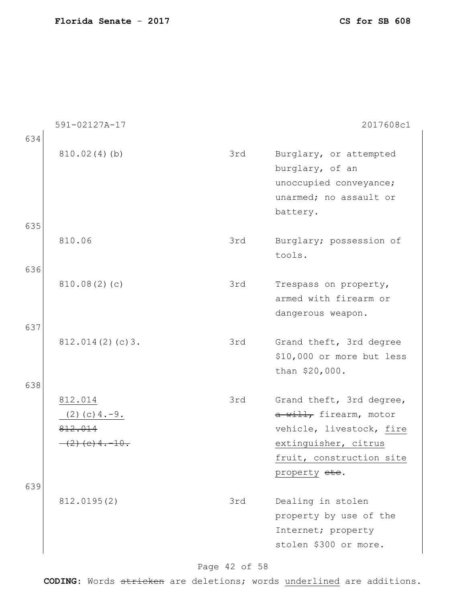|     | 591-02127A-17                 |     | 2017608c1                                                                                                 |
|-----|-------------------------------|-----|-----------------------------------------------------------------------------------------------------------|
| 634 |                               |     |                                                                                                           |
|     | 810.02(4)(b)                  | 3rd | Burglary, or attempted<br>burglary, of an<br>unoccupied conveyance;<br>unarmed; no assault or<br>battery. |
| 635 | 810.06                        |     |                                                                                                           |
|     |                               | 3rd | Burglary; possession of<br>tools.                                                                         |
| 636 |                               |     |                                                                                                           |
|     | 810.08(2)(c)                  | 3rd | Trespass on property,                                                                                     |
|     |                               |     | armed with firearm or<br>dangerous weapon.                                                                |
| 637 |                               |     |                                                                                                           |
|     | 812.014(2)(c)3.               | 3rd | Grand theft, 3rd degree<br>\$10,000 or more but less<br>than \$20,000.                                    |
| 638 |                               |     |                                                                                                           |
|     | 812.014<br>$(2)$ (c) $4.-9$ . | 3rd | Grand theft, 3rd degree,<br>a will, firearm, motor                                                        |
|     | 812.014                       |     | vehicle, livestock, fire                                                                                  |
|     | $(2)$ (e) 4. -10.             |     | extinguisher, citrus                                                                                      |
|     |                               |     | fruit, construction site                                                                                  |
|     |                               |     | property ete.                                                                                             |
| 639 | 812.0195(2)                   | 3rd | Dealing in stolen<br>property by use of the<br>Internet; property<br>stolen \$300 or more.                |

### Page 42 of 58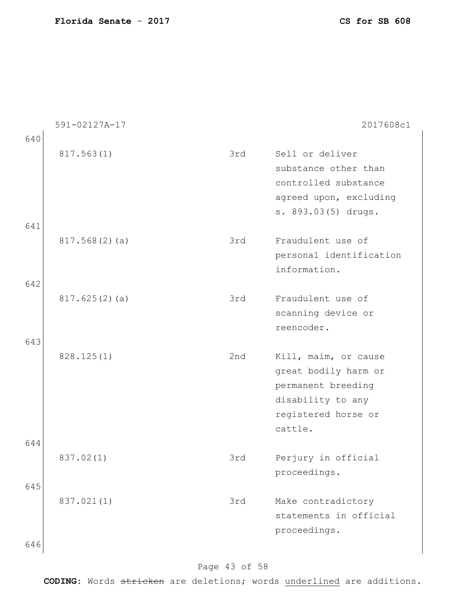|     | 591-02127A-17 |     | 2017608c1                                                                                                                 |
|-----|---------------|-----|---------------------------------------------------------------------------------------------------------------------------|
| 640 |               |     |                                                                                                                           |
|     | 817.563(1)    | 3rd | Sell or deliver<br>substance other than<br>controlled substance<br>agreed upon, excluding<br>s. 893.03(5) drugs.          |
| 641 |               |     |                                                                                                                           |
| 642 | 817.568(2)(a) | 3rd | Fraudulent use of<br>personal identification<br>information.                                                              |
|     | 817.625(2)(a) | 3rd | Fraudulent use of<br>scanning device or<br>reencoder.                                                                     |
| 643 | 828.125(1)    | 2nd | Kill, maim, or cause<br>great bodily harm or<br>permanent breeding<br>disability to any<br>registered horse or<br>cattle. |
| 644 |               |     |                                                                                                                           |
| 645 | 837.02(1)     | 3rd | Perjury in official<br>proceedings.                                                                                       |
| 646 | 837.021(1)    | 3rd | Make contradictory<br>statements in official<br>proceedings.                                                              |

### Page 43 of 58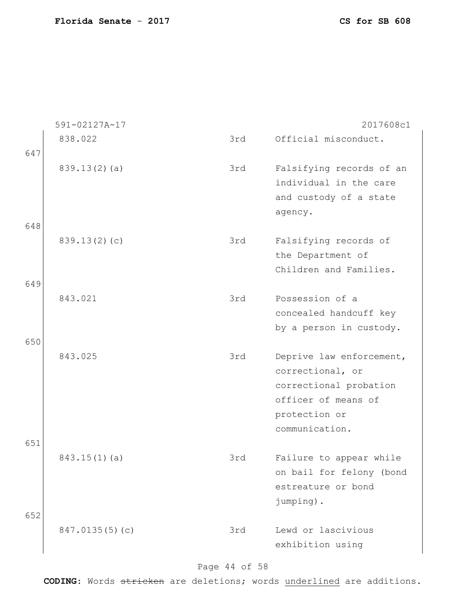|            | 591-02127A-17  |     | 2017608c1                                                                                                                        |
|------------|----------------|-----|----------------------------------------------------------------------------------------------------------------------------------|
| 647        | 838.022        | 3rd | Official misconduct.                                                                                                             |
|            | 839.13(2)(a)   | 3rd | Falsifying records of an<br>individual in the care<br>and custody of a state                                                     |
| 648        |                |     | agency.                                                                                                                          |
|            | 839.13(2)(c)   | 3rd | Falsifying records of<br>the Department of<br>Children and Families.                                                             |
| 649        | 843.021        | 3rd | Possession of a<br>concealed handcuff key<br>by a person in custody.                                                             |
| 650        | 843.025        | 3rd | Deprive law enforcement,<br>correctional, or<br>correctional probation<br>officer of means of<br>protection or<br>communication. |
| 651<br>652 | 843.15(1)(a)   | 3rd | Failure to appear while<br>on bail for felony (bond<br>estreature or bond<br>jumping).                                           |
|            | 847.0135(5)(c) | 3rd | Lewd or lascivious<br>exhibition using                                                                                           |

### Page 44 of 58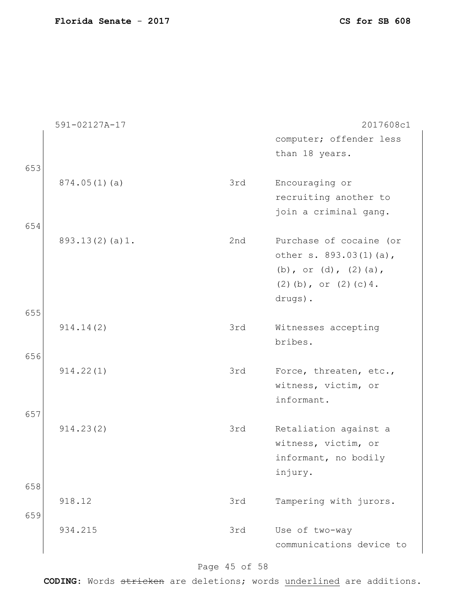|     | 591-02127A-17  |     | 2017608c1                                                                                                  |
|-----|----------------|-----|------------------------------------------------------------------------------------------------------------|
|     |                |     | computer; offender less                                                                                    |
|     |                |     | than 18 years.                                                                                             |
| 653 |                |     |                                                                                                            |
|     | 874.05(1)(a)   | 3rd | Encouraging or                                                                                             |
|     |                |     | recruiting another to                                                                                      |
|     |                |     | join a criminal gang.                                                                                      |
| 654 |                |     |                                                                                                            |
|     | 893.13(2)(a)1. | 2nd | Purchase of cocaine (or<br>other s. 893.03(1)(a),<br>(b), or (d), $(2)$ (a),<br>$(2)$ (b), or $(2)$ (c) 4. |
|     |                |     | drugs).                                                                                                    |
| 655 |                |     |                                                                                                            |
|     | 914.14(2)      | 3rd | Witnesses accepting                                                                                        |
|     |                |     | bribes.                                                                                                    |
| 656 |                |     |                                                                                                            |
|     | 914.22(1)      | 3rd | Force, threaten, etc.,                                                                                     |
|     |                |     | witness, victim, or                                                                                        |
|     |                |     | informant.                                                                                                 |
| 657 |                |     |                                                                                                            |
|     | 914.23(2)      | 3rd | Retaliation against a<br>witness, victim, or<br>informant, no bodily                                       |
|     |                |     | injury.                                                                                                    |
| 658 |                |     |                                                                                                            |
|     | 918.12         | 3rd | Tampering with jurors.                                                                                     |
| 659 |                |     |                                                                                                            |
|     | 934.215        | 3rd | Use of two-way                                                                                             |
|     |                |     | communications device to                                                                                   |

### Page 45 of 58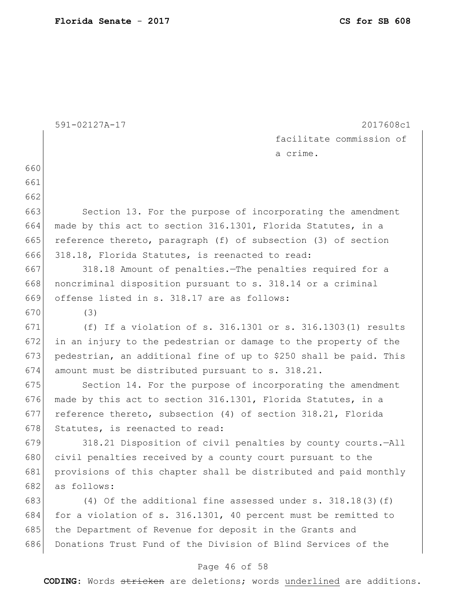|     | 591-02127A-17<br>2017608c1                                        |
|-----|-------------------------------------------------------------------|
|     | facilitate commission of                                          |
|     | a crime.                                                          |
| 660 |                                                                   |
| 661 |                                                                   |
| 662 |                                                                   |
| 663 | Section 13. For the purpose of incorporating the amendment        |
| 664 | made by this act to section 316.1301, Florida Statutes, in a      |
| 665 | reference thereto, paragraph (f) of subsection (3) of section     |
| 666 | 318.18, Florida Statutes, is reenacted to read:                   |
| 667 | 318.18 Amount of penalties. The penalties required for a          |
| 668 | noncriminal disposition pursuant to s. 318.14 or a criminal       |
| 669 | offense listed in s. 318.17 are as follows:                       |
| 670 | (3)                                                               |
| 671 | (f) If a violation of s. $316.1301$ or s. $316.1303(1)$ results   |
| 672 | in an injury to the pedestrian or damage to the property of the   |
| 673 | pedestrian, an additional fine of up to \$250 shall be paid. This |
| 674 | amount must be distributed pursuant to s. 318.21.                 |
| 675 | Section 14. For the purpose of incorporating the amendment        |
| 676 | made by this act to section 316.1301, Florida Statutes, in a      |
| 677 | reference thereto, subsection (4) of section 318.21, Florida      |
| 678 | Statutes, is reenacted to read:                                   |
| 679 | 318.21 Disposition of civil penalties by county courts.-All       |
| 680 | civil penalties received by a county court pursuant to the        |
| 681 | provisions of this chapter shall be distributed and paid monthly  |
| 682 | as follows:                                                       |
| 683 | (4) Of the additional fine assessed under s. $318.18(3)(f)$       |
| 684 | for a violation of s. 316.1301, 40 percent must be remitted to    |
| 685 | the Department of Revenue for deposit in the Grants and           |
| 686 | Donations Trust Fund of the Division of Blind Services of the     |

### Page 46 of 58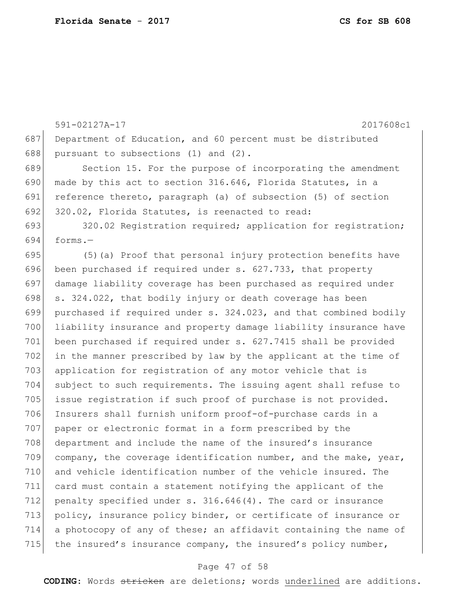591-02127A-17 2017608c1 687 Department of Education, and 60 percent must be distributed 688 pursuant to subsections  $(1)$  and  $(2)$ . 689 Section 15. For the purpose of incorporating the amendment 690 made by this act to section 316.646, Florida Statutes, in a 691 reference thereto, paragraph (a) of subsection (5) of section 692 320.02, Florida Statutes, is reenacted to read: 693 320.02 Registration required; application for registration;  $694$  forms. $-$ 695 (5)(a) Proof that personal injury protection benefits have 696 been purchased if required under s. 627.733, that property 697 damage liability coverage has been purchased as required under 698 s. 324.022, that bodily injury or death coverage has been 699 purchased if required under s. 324.023, and that combined bodily 700 liability insurance and property damage liability insurance have 701 been purchased if required under s. 627.7415 shall be provided 702 in the manner prescribed by law by the applicant at the time of 703 application for registration of any motor vehicle that is 704 subject to such requirements. The issuing agent shall refuse to 705 issue registration if such proof of purchase is not provided. 706 Insurers shall furnish uniform proof-of-purchase cards in a 707 paper or electronic format in a form prescribed by the 708 department and include the name of the insured's insurance 709 company, the coverage identification number, and the make, year, 710 and vehicle identification number of the vehicle insured. The 711 card must contain a statement notifying the applicant of the 712 penalty specified under s. 316.646(4). The card or insurance 713 policy, insurance policy binder, or certificate of insurance or 714 a photocopy of any of these; an affidavit containing the name of 715 the insured's insurance company, the insured's policy number,

#### Page 47 of 58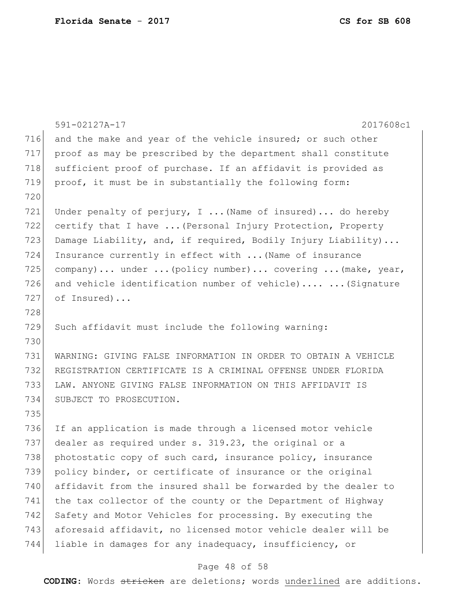|     | 2017608c1<br>591-02127A-17                                     |
|-----|----------------------------------------------------------------|
| 716 | and the make and year of the vehicle insured; or such other    |
| 717 | proof as may be prescribed by the department shall constitute  |
| 718 | sufficient proof of purchase. If an affidavit is provided as   |
| 719 | proof, it must be in substantially the following form:         |
| 720 |                                                                |
| 721 | Under penalty of perjury, I  (Name of insured)  do hereby      |
| 722 | certify that I have  (Personal Injury Protection, Property     |
| 723 | Damage Liability, and, if required, Bodily Injury Liability)   |
| 724 | Insurance currently in effect with  (Name of insurance         |
| 725 | company) under  (policy number) covering  (make, year,         |
| 726 | and vehicle identification number of vehicle)  (Signature      |
| 727 | of Insured)                                                    |
| 728 |                                                                |
| 729 | Such affidavit must include the following warning:             |
| 730 |                                                                |
| 731 | WARNING: GIVING FALSE INFORMATION IN ORDER TO OBTAIN A VEHICLE |
| 732 | REGISTRATION CERTIFICATE IS A CRIMINAL OFFENSE UNDER FLORIDA   |
| 733 | LAW. ANYONE GIVING FALSE INFORMATION ON THIS AFFIDAVIT IS      |
| 734 | SUBJECT TO PROSECUTION.                                        |
| 735 |                                                                |
| 736 | If an application is made through a licensed motor vehicle     |
| 737 | dealer as required under s. 319.23, the original or a          |
| 738 | photostatic copy of such card, insurance policy, insurance     |
| 739 | policy binder, or certificate of insurance or the original     |
| 740 | affidavit from the insured shall be forwarded by the dealer to |
| 741 | the tax collector of the county or the Department of Highway   |
| 742 | Safety and Motor Vehicles for processing. By executing the     |
| 743 | aforesaid affidavit, no licensed motor vehicle dealer will be  |
| 744 | liable in damages for any inadequacy, insufficiency, or        |

### Page 48 of 58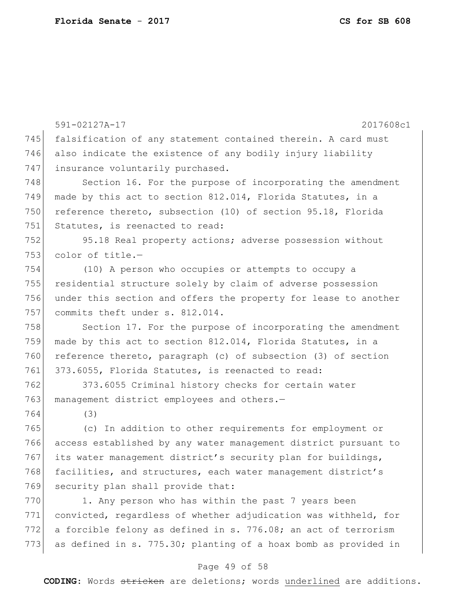591-02127A-17 2017608c1 745 falsification of any statement contained therein. A card must 746 also indicate the existence of any bodily injury liability 747 insurance voluntarily purchased. 748 Section 16. For the purpose of incorporating the amendment 749 made by this act to section 812.014, Florida Statutes, in a 750 reference thereto, subsection (10) of section 95.18, Florida 751 Statutes, is reenacted to read: 752 95.18 Real property actions; adverse possession without 753 color of title.— 754 (10) A person who occupies or attempts to occupy a 755 residential structure solely by claim of adverse possession 756 under this section and offers the property for lease to another 757 commits theft under s. 812.014. 758 Section 17. For the purpose of incorporating the amendment 759 made by this act to section 812.014, Florida Statutes, in a 760 reference thereto, paragraph (c) of subsection (3) of section 761 373.6055, Florida Statutes, is reenacted to read: 762 373.6055 Criminal history checks for certain water 763 management district employees and others.-764 (3) 765 (c) In addition to other requirements for employment or 766 access established by any water management district pursuant to 767 its water management district's security plan for buildings, 768 facilities, and structures, each water management district's 769 security plan shall provide that: 770 1. Any person who has within the past 7 years been 771 convicted, regardless of whether adjudication was withheld, for 772 a forcible felony as defined in s. 776.08; an act of terrorism 773 as defined in s. 775.30; planting of a hoax bomb as provided in

#### Page 49 of 58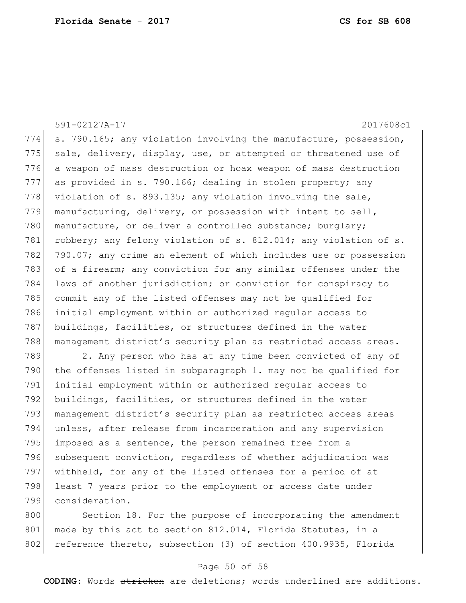591-02127A-17 2017608c1 774  $\vert$  s. 790.165; any violation involving the manufacture, possession, 775 sale, delivery, display, use, or attempted or threatened use of 776 a weapon of mass destruction or hoax weapon of mass destruction 777 as provided in s. 790.166; dealing in stolen property; any 778 violation of s. 893.135; any violation involving the sale, 779 manufacturing, delivery, or possession with intent to sell, 780 manufacture, or deliver a controlled substance; burglary; 781 robbery; any felony violation of s. 812.014; any violation of s. 782 790.07; any crime an element of which includes use or possession 783 of a firearm; any conviction for any similar offenses under the 784 laws of another jurisdiction; or conviction for conspiracy to 785 commit any of the listed offenses may not be qualified for 786 initial employment within or authorized regular access to 787 buildings, facilities, or structures defined in the water 788 management district's security plan as restricted access areas. 789 2. Any person who has at any time been convicted of any of 790 the offenses listed in subparagraph 1. may not be qualified for 791 initial employment within or authorized regular access to 792 buildings, facilities, or structures defined in the water 793 | management district's security plan as restricted access areas 794 unless, after release from incarceration and any supervision 795 imposed as a sentence, the person remained free from a 796 subsequent conviction, regardless of whether adjudication was 797 withheld, for any of the listed offenses for a period of at 798 least 7 years prior to the employment or access date under

799 consideration.

800 Section 18. For the purpose of incorporating the amendment 801 made by this act to section 812.014, Florida Statutes, in a 802 reference thereto, subsection (3) of section 400.9935, Florida

#### Page 50 of 58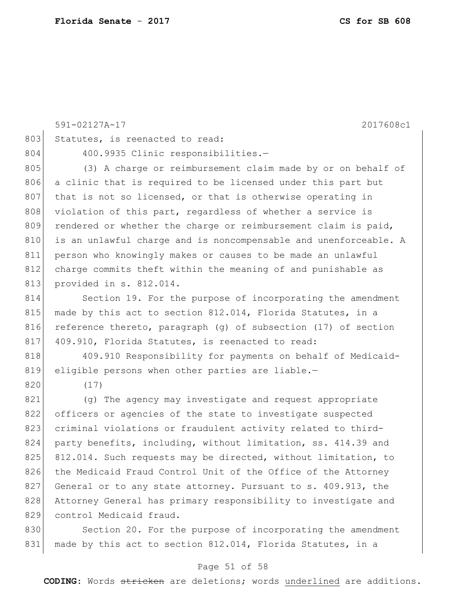|     | 591-02127A-17<br>2017608c1                                       |
|-----|------------------------------------------------------------------|
| 803 | Statutes, is reenacted to read:                                  |
| 804 | 400.9935 Clinic responsibilities.-                               |
| 805 | (3) A charge or reimbursement claim made by or on behalf of      |
| 806 | a clinic that is required to be licensed under this part but     |
| 807 | that is not so licensed, or that is otherwise operating in       |
| 808 | violation of this part, regardless of whether a service is       |
| 809 | rendered or whether the charge or reimbursement claim is paid,   |
| 810 | is an unlawful charge and is noncompensable and unenforceable. A |
| 811 | person who knowingly makes or causes to be made an unlawful      |
| 812 | charge commits theft within the meaning of and punishable as     |
| 813 | provided in s. 812.014.                                          |
| 814 | Section 19. For the purpose of incorporating the amendment       |
| 815 | made by this act to section 812.014, Florida Statutes, in a      |
| 816 | reference thereto, paragraph (g) of subsection (17) of section   |
| 817 | 409.910, Florida Statutes, is reenacted to read:                 |
| 818 | 409.910 Responsibility for payments on behalf of Medicaid-       |
| 819 | eligible persons when other parties are liable.-                 |
| 820 | (17)                                                             |
| 821 | (q) The agency may investigate and request appropriate           |
| 822 | officers or agencies of the state to investigate suspected       |
| 823 | criminal violations or fraudulent activity related to third-     |
| 824 | party benefits, including, without limitation, ss. 414.39 and    |
| 825 | 812.014. Such requests may be directed, without limitation, to   |
| 826 | the Medicaid Fraud Control Unit of the Office of the Attorney    |
| 827 | General or to any state attorney. Pursuant to s. 409.913, the    |
| 828 | Attorney General has primary responsibility to investigate and   |
| 829 | control Medicaid fraud.                                          |
| 830 | Section 20. For the purpose of incorporating the amendment       |
| 831 | made by this act to section 812.014, Florida Statutes, in a      |

#### Page 51 of 58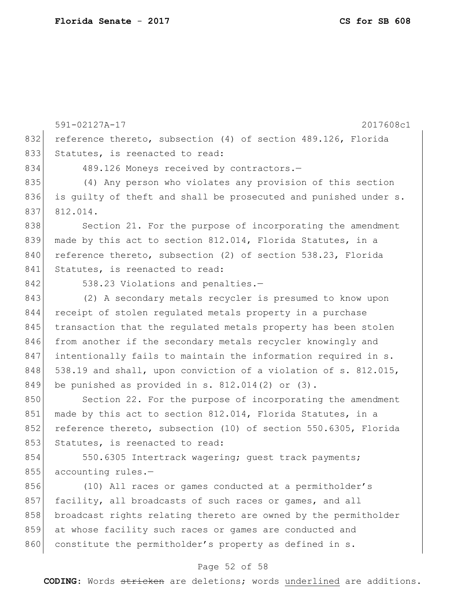591-02127A-17 2017608c1 832 reference thereto, subsection (4) of section 489.126, Florida 833 Statutes, is reenacted to read: 834 489.126 Moneys received by contractors.-835 (4) Any person who violates any provision of this section 836 is quilty of theft and shall be prosecuted and punished under s. 837 812.014. 838 Section 21. For the purpose of incorporating the amendment 839 made by this act to section 812.014, Florida Statutes, in a 840 reference thereto, subsection (2) of section 538.23, Florida 841 Statutes, is reenacted to read: 842 538.23 Violations and penalties.-843 (2) A secondary metals recycler is presumed to know upon 844 receipt of stolen regulated metals property in a purchase 845 transaction that the regulated metals property has been stolen 846 from another if the secondary metals recycler knowingly and 847 intentionally fails to maintain the information required in s. 848 538.19 and shall, upon conviction of a violation of s. 812.015, 849 be punished as provided in s.  $812.014(2)$  or  $(3)$ . 850 Section 22. For the purpose of incorporating the amendment 851 made by this act to section 812.014, Florida Statutes, in a 852 reference thereto, subsection (10) of section 550.6305, Florida 853 Statutes, is reenacted to read: 854 550.6305 Intertrack wagering; quest track payments; 855 accounting rules.-856 (10) All races or games conducted at a permitholder's 857 facility, all broadcasts of such races or games, and all 858 broadcast rights relating thereto are owned by the permitholder 859 at whose facility such races or games are conducted and 860 constitute the permitholder's property as defined in s.

#### Page 52 of 58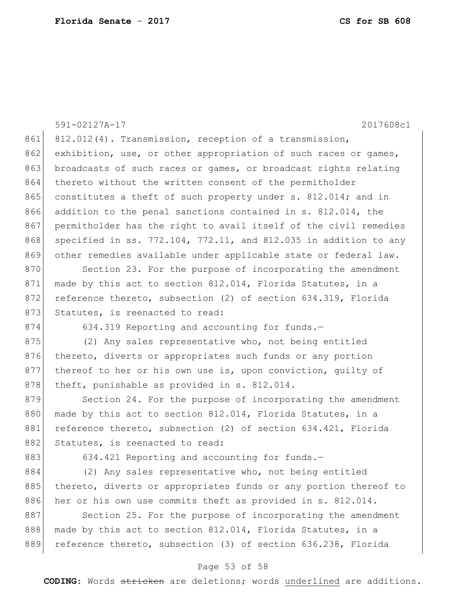|     | 2017608c1<br>591-02127A-17                                             |
|-----|------------------------------------------------------------------------|
| 861 | 812.012(4). Transmission, reception of a transmission,                 |
| 862 | exhibition, use, or other appropriation of such races or games,        |
| 863 | broadcasts of such races or games, or broadcast rights relating        |
| 864 | thereto without the written consent of the permitholder                |
| 865 | constitutes a theft of such property under s. 812.014; and in          |
| 866 | addition to the penal sanctions contained in s. 812.014, the           |
| 867 | permitholder has the right to avail itself of the civil remedies       |
| 868 | specified in ss. $772.104$ , $772.11$ , and 812.035 in addition to any |
| 869 | other remedies available under applicable state or federal law.        |
| 870 | Section 23. For the purpose of incorporating the amendment             |
| 871 | made by this act to section 812.014, Florida Statutes, in a            |
| 872 | reference thereto, subsection (2) of section 634.319, Florida          |
| 873 | Statutes, is reenacted to read:                                        |
| 874 | 634.319 Reporting and accounting for funds.-                           |
| 875 | (2) Any sales representative who, not being entitled                   |
| 876 | thereto, diverts or appropriates such funds or any portion             |
| 877 | thereof to her or his own use is, upon conviction, quilty of           |
| 878 | theft, punishable as provided in s. 812.014.                           |
| 879 | Section 24. For the purpose of incorporating the amendment             |
| 880 | made by this act to section 812.014, Florida Statutes, in a            |
| 881 | reference thereto, subsection (2) of section 634.421, Florida          |
| 882 | Statutes, is reenacted to read:                                        |
| 883 | 634.421 Reporting and accounting for funds.-                           |
| 884 | (2) Any sales representative who, not being entitled                   |
| 885 | thereto, diverts or appropriates funds or any portion thereof to       |
| 886 | her or his own use commits theft as provided in s. 812.014.            |
| 887 | Section 25. For the purpose of incorporating the amendment             |
| 888 | made by this act to section 812.014, Florida Statutes, in a            |
| 889 | reference thereto, subsection (3) of section 636.238, Florida          |
|     |                                                                        |

### Page 53 of 58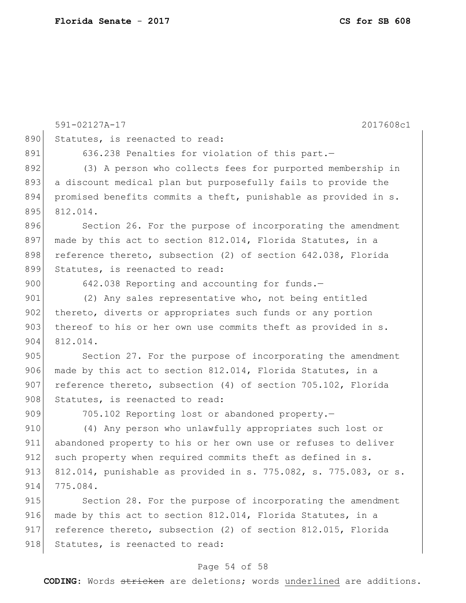|     | 591-02127A-17<br>2017608c1                                       |
|-----|------------------------------------------------------------------|
| 890 | Statutes, is reenacted to read:                                  |
| 891 | 636.238 Penalties for violation of this part.-                   |
| 892 | (3) A person who collects fees for purported membership in       |
| 893 | a discount medical plan but purposefully fails to provide the    |
| 894 | promised benefits commits a theft, punishable as provided in s.  |
| 895 | 812.014.                                                         |
| 896 | Section 26. For the purpose of incorporating the amendment       |
| 897 | made by this act to section 812.014, Florida Statutes, in a      |
| 898 | reference thereto, subsection (2) of section 642.038, Florida    |
| 899 | Statutes, is reenacted to read:                                  |
| 900 | 642.038 Reporting and accounting for funds.-                     |
| 901 | (2) Any sales representative who, not being entitled             |
| 902 | thereto, diverts or appropriates such funds or any portion       |
| 903 | thereof to his or her own use commits theft as provided in s.    |
| 904 | 812.014.                                                         |
| 905 | Section 27. For the purpose of incorporating the amendment       |
| 906 | made by this act to section 812.014, Florida Statutes, in a      |
| 907 | reference thereto, subsection (4) of section 705.102, Florida    |
| 908 | Statutes, is reenacted to read:                                  |
| 909 | 705.102 Reporting lost or abandoned property.-                   |
| 910 | (4) Any person who unlawfully appropriates such lost or          |
| 911 | abandoned property to his or her own use or refuses to deliver   |
| 912 | such property when required commits theft as defined in s.       |
| 913 | 812.014, punishable as provided in s. 775.082, s. 775.083, or s. |
| 914 | 775.084.                                                         |
| 915 | Section 28. For the purpose of incorporating the amendment       |
| 916 | made by this act to section 812.014, Florida Statutes, in a      |
| 917 | reference thereto, subsection (2) of section 812.015, Florida    |
| 918 | Statutes, is reenacted to read:                                  |

### Page 54 of 58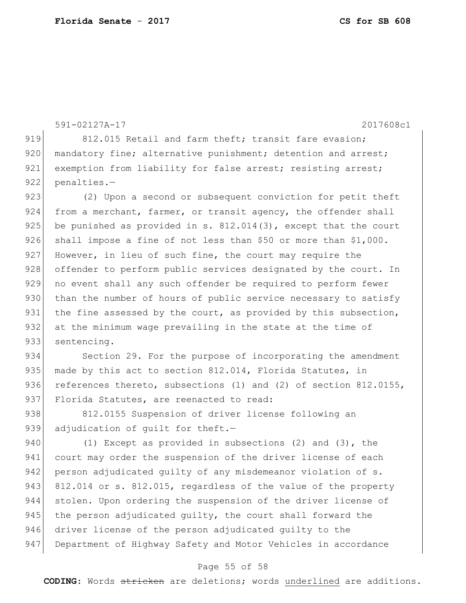```
591-02127A-17 2017608c1
919 812.015 Retail and farm theft; transit fare evasion;
920 mandatory fine; alternative punishment; detention and arrest;
921 exemption from liability for false arrest; resisting arrest;
922 penalties.-
923 (2) Upon a second or subsequent conviction for petit theft
924 from a merchant, farmer, or transit agency, the offender shall
925 be punished as provided in s. 812.014(3), except that the court
926 shall impose a fine of not less than $50 or more than $1,000.
927 However, in lieu of such fine, the court may require the
928 offender to perform public services designated by the court. In
929 no event shall any such offender be required to perform fewer
930 than the number of hours of public service necessary to satisfy
931 the fine assessed by the court, as provided by this subsection,
932 at the minimum wage prevailing in the state at the time of
933 sentencing.
934 Section 29. For the purpose of incorporating the amendment
935 made by this act to section 812.014, Florida Statutes, in
936 references thereto, subsections (1) and (2) of section 812.0155,
937 Florida Statutes, are reenacted to read:
938 812.0155 Suspension of driver license following an
939 adjudication of quilt for theft.-
940 (1) Except as provided in subsections (2) and (3), the
941 court may order the suspension of the driver license of each
942 person adjudicated quilty of any misdemeanor violation of s.
943 812.014 or s. 812.015, regardless of the value of the property
944 stolen. Upon ordering the suspension of the driver license of 
945 the person adjudicated quilty, the court shall forward the
946 driver license of the person adjudicated guilty to the
947 Department of Highway Safety and Motor Vehicles in accordance
```
#### Page 55 of 58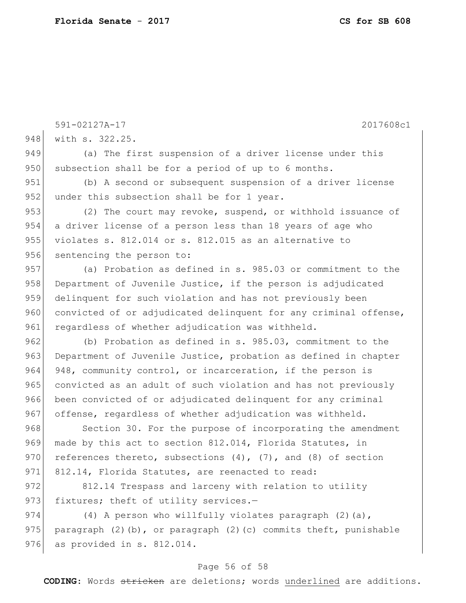591-02127A-17 2017608c1 948 with s. 322.25. 949 (a) The first suspension of a driver license under this 950 subsection shall be for a period of up to 6 months. 951 (b) A second or subsequent suspension of a driver license 952 under this subsection shall be for 1 year. 953 (2) The court may revoke, suspend, or withhold issuance of 954 a driver license of a person less than 18 years of age who 955 violates s. 812.014 or s. 812.015 as an alternative to 956 sentencing the person to: 957 (a) Probation as defined in s. 985.03 or commitment to the 958 Department of Juvenile Justice, if the person is adjudicated 959 delinquent for such violation and has not previously been 960 convicted of or adjudicated delinquent for any criminal offense, 961 regardless of whether adjudication was withheld. 962 (b) Probation as defined in s. 985.03, commitment to the 963 Department of Juvenile Justice, probation as defined in chapter 964 948, community control, or incarceration, if the person is 965 convicted as an adult of such violation and has not previously 966 been convicted of or adjudicated delinquent for any criminal 967 offense, regardless of whether adjudication was withheld. 968 Section 30. For the purpose of incorporating the amendment 969 made by this act to section 812.014, Florida Statutes, in 970 references thereto, subsections  $(4)$ ,  $(7)$ , and  $(8)$  of section 971 812.14, Florida Statutes, are reenacted to read: 972 812.14 Trespass and larceny with relation to utility 973 fixtures; theft of utility services.-974  $(4)$  A person who willfully violates paragraph  $(2)$  (a), 975 paragraph  $(2)$  (b), or paragraph  $(2)$  (c) commits theft, punishable 976 as provided in s. 812.014.

#### Page 56 of 58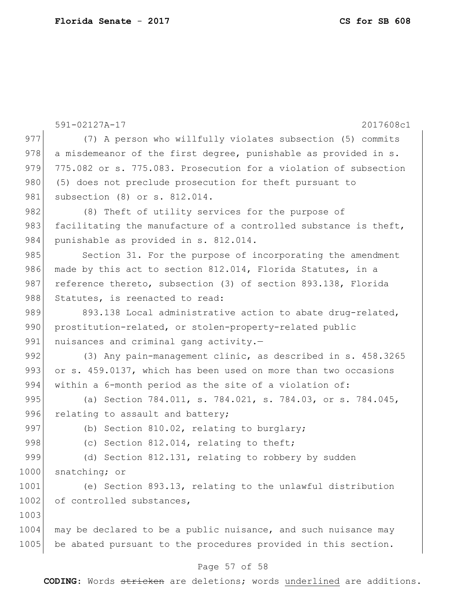|      | 591-02127A-17<br>2017608c1                                       |
|------|------------------------------------------------------------------|
| 977  | (7) A person who willfully violates subsection (5) commits       |
| 978  | a misdemeanor of the first degree, punishable as provided in s.  |
| 979  | 775.082 or s. 775.083. Prosecution for a violation of subsection |
| 980  | (5) does not preclude prosecution for theft pursuant to          |
| 981  | subsection (8) or s. 812.014.                                    |
| 982  | (8) Theft of utility services for the purpose of                 |
| 983  | facilitating the manufacture of a controlled substance is theft, |
| 984  | punishable as provided in s. 812.014.                            |
| 985  | Section 31. For the purpose of incorporating the amendment       |
| 986  | made by this act to section 812.014, Florida Statutes, in a      |
| 987  | reference thereto, subsection (3) of section 893.138, Florida    |
| 988  | Statutes, is reenacted to read:                                  |
| 989  | 893.138 Local administrative action to abate drug-related,       |
| 990  | prostitution-related, or stolen-property-related public          |
| 991  | nuisances and criminal gang activity.-                           |
| 992  | (3) Any pain-management clinic, as described in s. 458.3265      |
| 993  | or s. 459.0137, which has been used on more than two occasions   |
| 994  | within a 6-month period as the site of a violation of:           |
| 995  | (a) Section 784.011, s. 784.021, s. 784.03, or s. 784.045,       |
| 996  | relating to assault and battery;                                 |
| 997  | (b) Section 810.02, relating to burglary;                        |
| 998  | (c) Section 812.014, relating to theft;                          |
| 999  | (d) Section 812.131, relating to robbery by sudden               |
| 1000 | snatching; or                                                    |
| 1001 | (e) Section 893.13, relating to the unlawful distribution        |
| 1002 | of controlled substances,                                        |
| 1003 |                                                                  |
| 1004 | may be declared to be a public nuisance, and such nuisance may   |
| 1005 | be abated pursuant to the procedures provided in this section.   |
|      |                                                                  |

#### Page 57 of 58